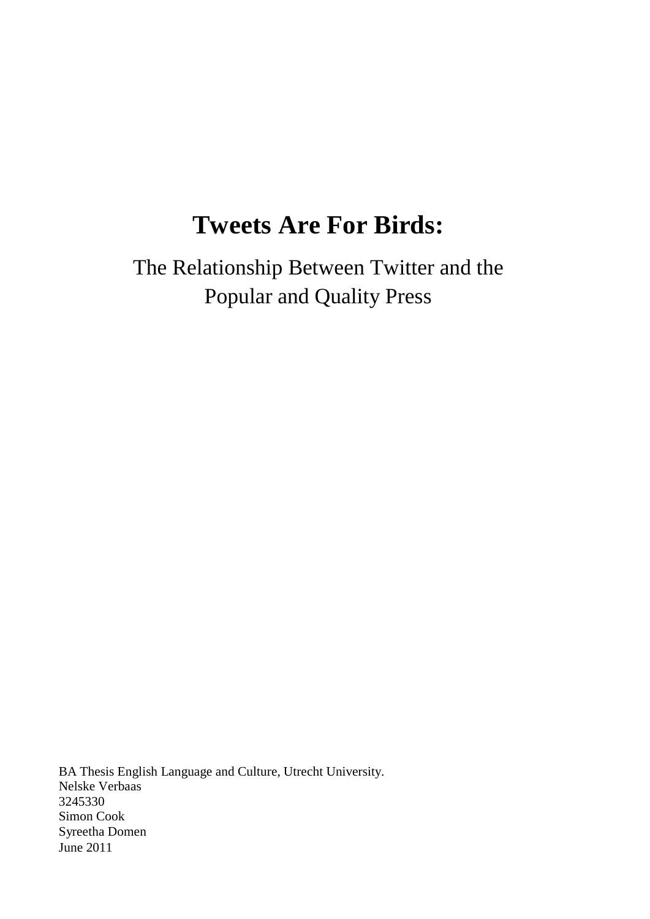# **Tweets Are For Birds:**

The Relationship Between Twitter and the Popular and Quality Press

BA Thesis English Language and Culture, Utrecht University. Nelske Verbaas 3245330 Simon Cook Syreetha Domen June 2011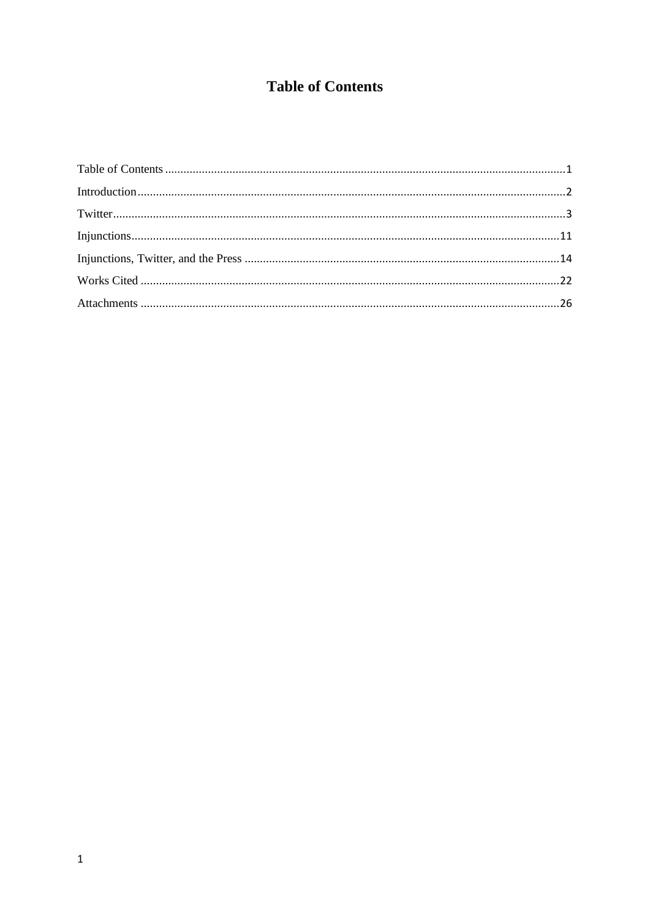## **Table of Contents**

<span id="page-1-0"></span>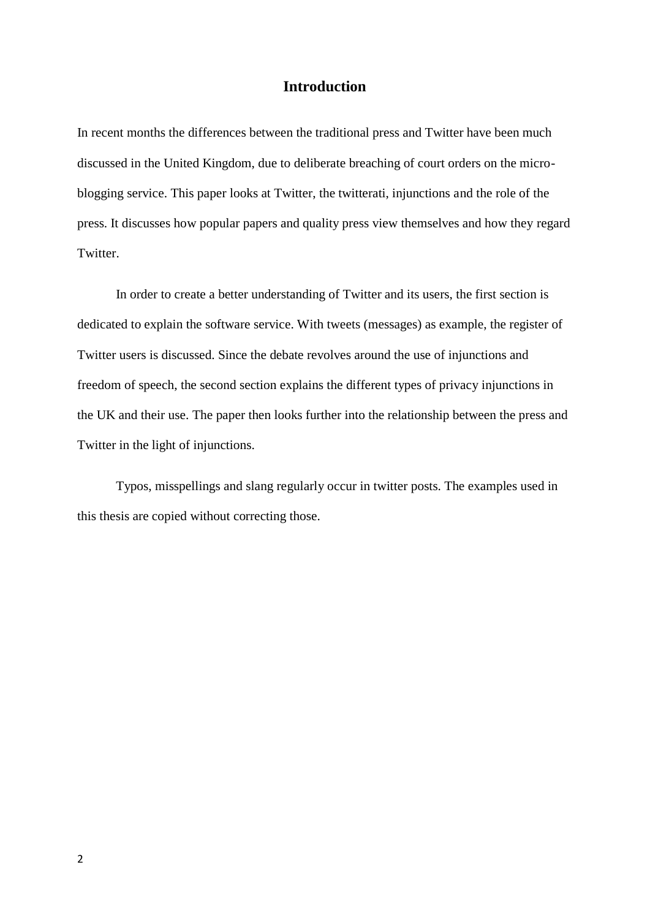#### **Introduction**

<span id="page-2-0"></span>In recent months the differences between the traditional press and Twitter have been much discussed in the United Kingdom, due to deliberate breaching of court orders on the microblogging service. This paper looks at Twitter, the twitterati, injunctions and the role of the press. It discusses how popular papers and quality press view themselves and how they regard Twitter.

In order to create a better understanding of Twitter and its users, the first section is dedicated to explain the software service. With tweets (messages) as example, the register of Twitter users is discussed. Since the debate revolves around the use of injunctions and freedom of speech, the second section explains the different types of privacy injunctions in the UK and their use. The paper then looks further into the relationship between the press and Twitter in the light of injunctions.

Typos, misspellings and slang regularly occur in twitter posts. The examples used in this thesis are copied without correcting those.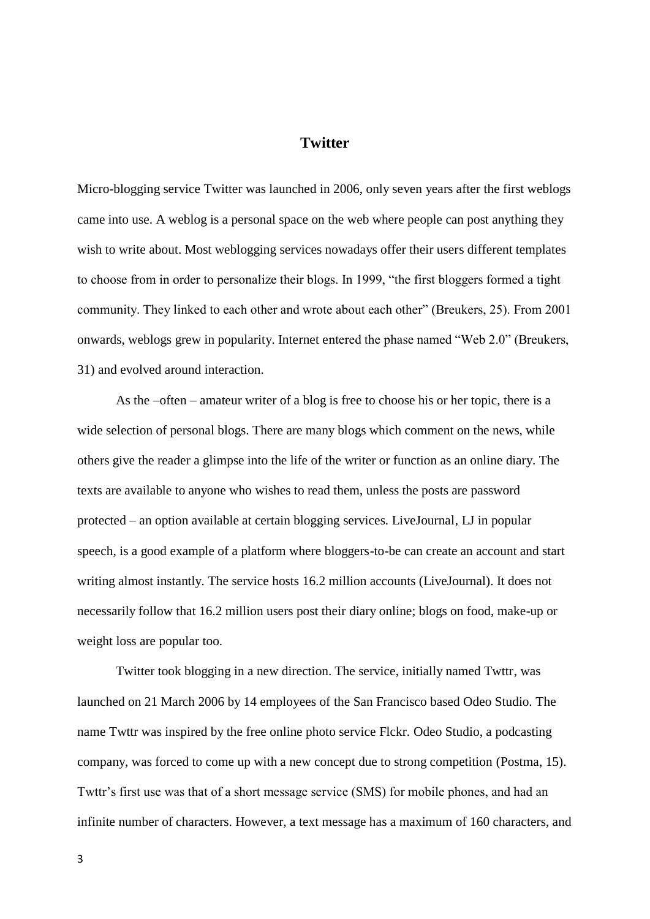#### **Twitter**

<span id="page-3-0"></span>Micro-blogging service Twitter was launched in 2006, only seven years after the first weblogs came into use. A weblog is a personal space on the web where people can post anything they wish to write about. Most weblogging services nowadays offer their users different templates to choose from in order to personalize their blogs. In 1999, "the first bloggers formed a tight community. They linked to each other and wrote about each other" (Breukers, 25). From 2001 onwards, weblogs grew in popularity. Internet entered the phase named "Web 2.0" (Breukers, 31) and evolved around interaction.

As the –often – amateur writer of a blog is free to choose his or her topic, there is a wide selection of personal blogs. There are many blogs which comment on the news, while others give the reader a glimpse into the life of the writer or function as an online diary. The texts are available to anyone who wishes to read them, unless the posts are password protected – an option available at certain blogging services. LiveJournal, LJ in popular speech, is a good example of a platform where bloggers-to-be can create an account and start writing almost instantly. The service hosts 16.2 million accounts (LiveJournal). It does not necessarily follow that 16.2 million users post their diary online; blogs on food, make-up or weight loss are popular too.

Twitter took blogging in a new direction. The service, initially named Twttr, was launched on 21 March 2006 by 14 employees of the San Francisco based Odeo Studio. The name Twttr was inspired by the free online photo service Flckr. Odeo Studio, a podcasting company, was forced to come up with a new concept due to strong competition (Postma, 15). Twttr's first use was that of a short message service (SMS) for mobile phones, and had an infinite number of characters. However, a text message has a maximum of 160 characters, and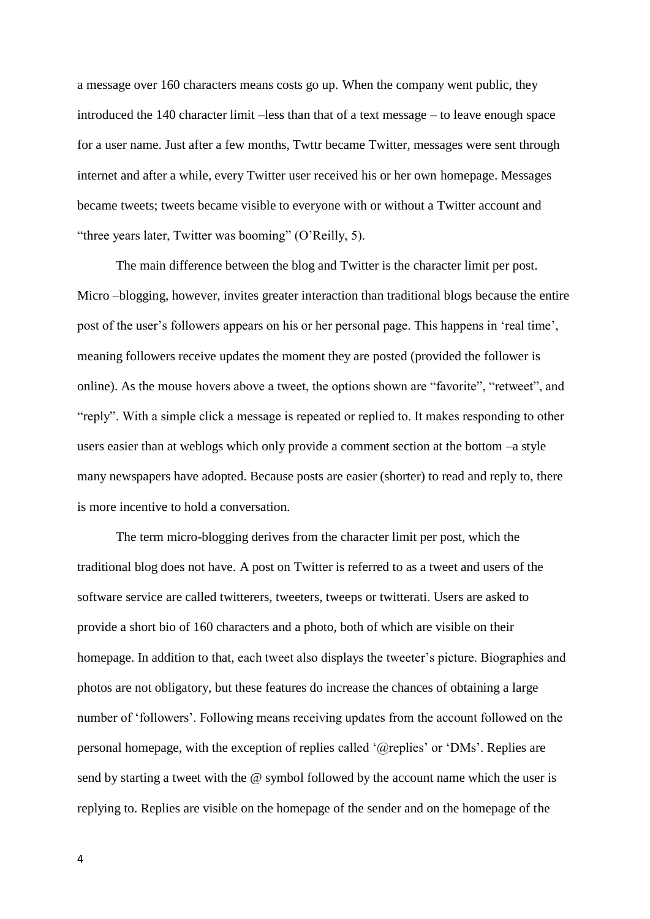a message over 160 characters means costs go up. When the company went public, they introduced the 140 character limit –less than that of a text message – to leave enough space for a user name. Just after a few months, Twttr became Twitter, messages were sent through internet and after a while, every Twitter user received his or her own homepage. Messages became tweets; tweets became visible to everyone with or without a Twitter account and "three years later, Twitter was booming" (O'Reilly, 5).

The main difference between the blog and Twitter is the character limit per post. Micro –blogging, however, invites greater interaction than traditional blogs because the entire post of the user's followers appears on his or her personal page. This happens in 'real time', meaning followers receive updates the moment they are posted (provided the follower is online). As the mouse hovers above a tweet, the options shown are "favorite", "retweet", and "reply". With a simple click a message is repeated or replied to. It makes responding to other users easier than at weblogs which only provide a comment section at the bottom –a style many newspapers have adopted. Because posts are easier (shorter) to read and reply to, there is more incentive to hold a conversation.

The term micro-blogging derives from the character limit per post, which the traditional blog does not have. A post on Twitter is referred to as a tweet and users of the software service are called twitterers, tweeters, tweeps or twitterati. Users are asked to provide a short bio of 160 characters and a photo, both of which are visible on their homepage. In addition to that, each tweet also displays the tweeter's picture. Biographies and photos are not obligatory, but these features do increase the chances of obtaining a large number of 'followers'. Following means receiving updates from the account followed on the personal homepage, with the exception of replies called ‗@replies' or ‗DMs'. Replies are send by starting a tweet with the @ symbol followed by the account name which the user is replying to. Replies are visible on the homepage of the sender and on the homepage of the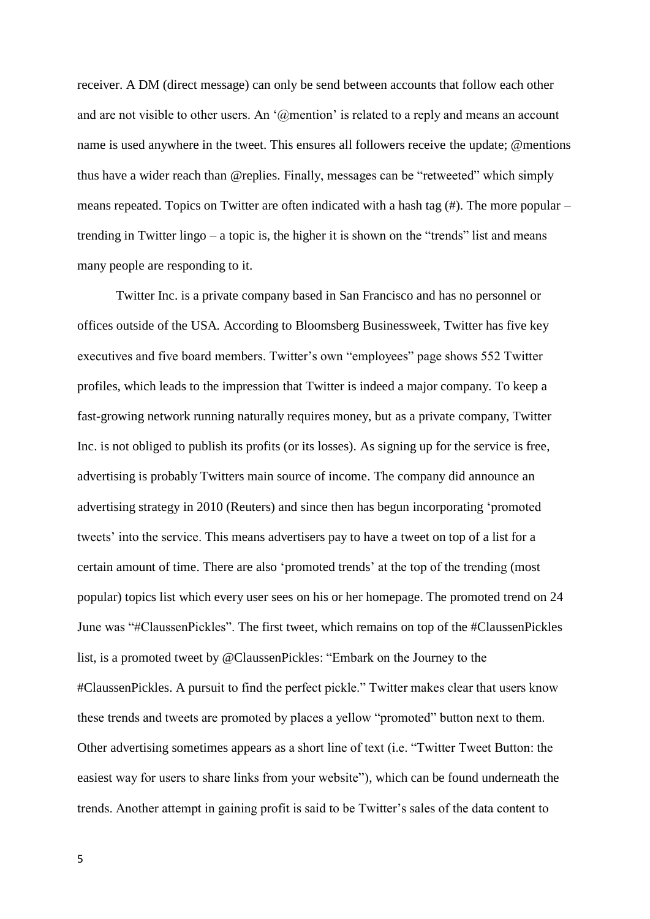receiver. A DM (direct message) can only be send between accounts that follow each other and are not visible to other users. An ' $@$ mention' is related to a reply and means an account name is used anywhere in the tweet. This ensures all followers receive the update; @mentions thus have a wider reach than @replies. Finally, messages can be "retweeted" which simply means repeated. Topics on Twitter are often indicated with a hash tag (#). The more popular – trending in Twitter lingo – a topic is, the higher it is shown on the "trends" list and means many people are responding to it.

Twitter Inc. is a private company based in San Francisco and has no personnel or offices outside of the USA. According to Bloomsberg Businessweek, Twitter has five key executives and five board members. Twitter's own "employees" page shows 552 Twitter profiles, which leads to the impression that Twitter is indeed a major company. To keep a fast-growing network running naturally requires money, but as a private company, Twitter Inc. is not obliged to publish its profits (or its losses). As signing up for the service is free, advertising is probably Twitters main source of income. The company did announce an advertising strategy in 2010 (Reuters) and since then has begun incorporating 'promoted tweets' into the service. This means advertisers pay to have a tweet on top of a list for a certain amount of time. There are also 'promoted trends' at the top of the trending (most popular) topics list which every user sees on his or her homepage. The promoted trend on 24 June was "#ClaussenPickles". The first tweet, which remains on top of the #ClaussenPickles list, is a promoted tweet by @ClaussenPickles: "Embark on the Journey to the #ClaussenPickles. A pursuit to find the perfect pickle." Twitter makes clear that users know these trends and tweets are promoted by places a yellow "promoted" button next to them. Other advertising sometimes appears as a short line of text (i.e. "Twitter Tweet Button: the easiest way for users to share links from your website"), which can be found underneath the trends. Another attempt in gaining profit is said to be Twitter's sales of the data content to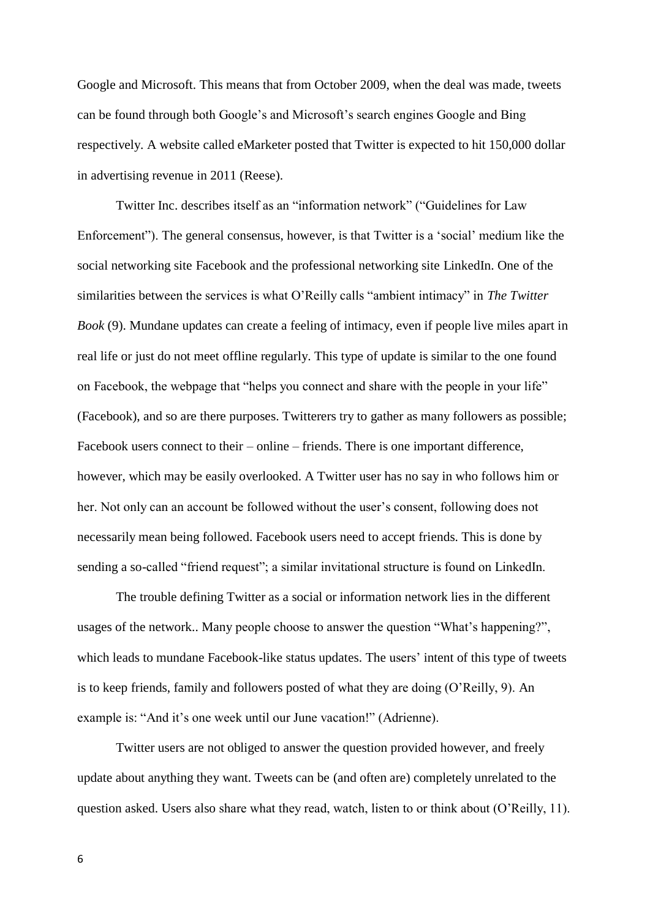Google and Microsoft. This means that from October 2009, when the deal was made, tweets can be found through both Google's and Microsoft's search engines Google and Bing respectively. A website called eMarketer posted that Twitter is expected to hit 150,000 dollar in advertising revenue in 2011 (Reese).

Twitter Inc. describes itself as an "information network" ("Guidelines for Law Enforcement"). The general consensus, however, is that Twitter is a 'social' medium like the social networking site Facebook and the professional networking site LinkedIn. One of the similarities between the services is what O'Reilly calls "ambient intimacy" in *The Twitter Book* (9). Mundane updates can create a feeling of intimacy, even if people live miles apart in real life or just do not meet offline regularly. This type of update is similar to the one found on Facebook, the webpage that "helps you connect and share with the people in your life" (Facebook), and so are there purposes. Twitterers try to gather as many followers as possible; Facebook users connect to their – online – friends. There is one important difference, however, which may be easily overlooked. A Twitter user has no say in who follows him or her. Not only can an account be followed without the user's consent, following does not necessarily mean being followed. Facebook users need to accept friends. This is done by sending a so-called "friend request"; a similar invitational structure is found on LinkedIn.

The trouble defining Twitter as a social or information network lies in the different usages of the network.. Many people choose to answer the question "What's happening?", which leads to mundane Facebook-like status updates. The users' intent of this type of tweets is to keep friends, family and followers posted of what they are doing (O'Reilly, 9). An example is: "And it's one week until our June vacation!" (Adrienne).

Twitter users are not obliged to answer the question provided however, and freely update about anything they want. Tweets can be (and often are) completely unrelated to the question asked. Users also share what they read, watch, listen to or think about (O'Reilly, 11).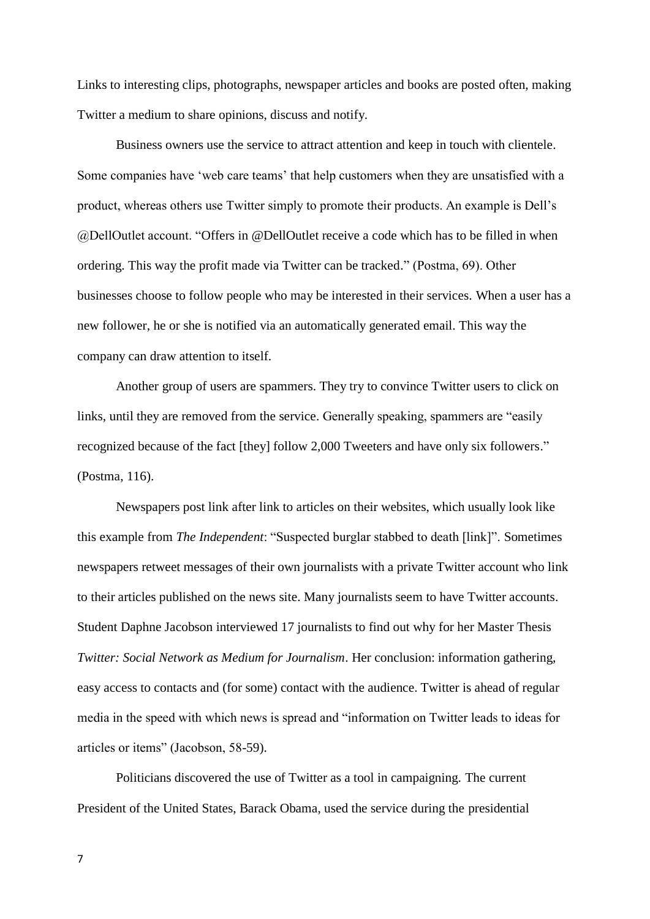Links to interesting clips, photographs, newspaper articles and books are posted often, making Twitter a medium to share opinions, discuss and notify.

Business owners use the service to attract attention and keep in touch with clientele. Some companies have 'web care teams' that help customers when they are unsatisfied with a product, whereas others use Twitter simply to promote their products. An example is Dell's @DellOutlet account. "Offers in @DellOutlet receive a code which has to be filled in when ordering. This way the profit made via Twitter can be tracked." (Postma, 69). Other businesses choose to follow people who may be interested in their services. When a user has a new follower, he or she is notified via an automatically generated email. This way the company can draw attention to itself.

Another group of users are spammers. They try to convince Twitter users to click on links, until they are removed from the service. Generally speaking, spammers are "easily recognized because of the fact [they] follow 2,000 Tweeters and have only six followers." (Postma, 116).

Newspapers post link after link to articles on their websites, which usually look like this example from *The Independent*: "Suspected burglar stabbed to death [link]". Sometimes newspapers retweet messages of their own journalists with a private Twitter account who link to their articles published on the news site. Many journalists seem to have Twitter accounts. Student Daphne Jacobson interviewed 17 journalists to find out why for her Master Thesis *Twitter: Social Network as Medium for Journalism*. Her conclusion: information gathering, easy access to contacts and (for some) contact with the audience. Twitter is ahead of regular media in the speed with which news is spread and "information on Twitter leads to ideas for articles or items" (Jacobson, 58-59).

Politicians discovered the use of Twitter as a tool in campaigning. The current President of the United States, Barack Obama, used the service during the presidential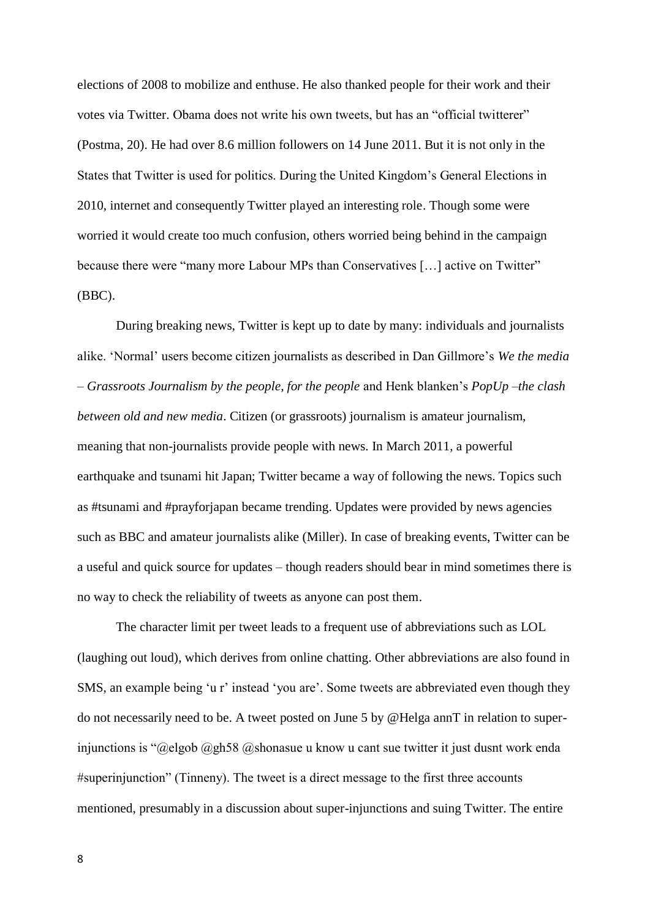elections of 2008 to mobilize and enthuse. He also thanked people for their work and their votes via Twitter. Obama does not write his own tweets, but has an "official twitterer" (Postma, 20). He had over 8.6 million followers on 14 June 2011. But it is not only in the States that Twitter is used for politics. During the United Kingdom's General Elections in 2010, internet and consequently Twitter played an interesting role. Though some were worried it would create too much confusion, others worried being behind in the campaign because there were "many more Labour MPs than Conservatives [...] active on Twitter" (BBC).

During breaking news, Twitter is kept up to date by many: individuals and journalists alike. ‗Normal' users become citizen journalists as described in Dan Gillmore's *We the media – Grassroots Journalism by the people, for the people* and Henk blanken's *PopUp –the clash between old and new media*. Citizen (or grassroots) journalism is amateur journalism, meaning that non-journalists provide people with news. In March 2011, a powerful earthquake and tsunami hit Japan; Twitter became a way of following the news. Topics such as #tsunami and #prayforjapan became trending. Updates were provided by news agencies such as BBC and amateur journalists alike (Miller). In case of breaking events, Twitter can be a useful and quick source for updates – though readers should bear in mind sometimes there is no way to check the reliability of tweets as anyone can post them.

The character limit per tweet leads to a frequent use of abbreviations such as LOL (laughing out loud), which derives from online chatting. Other abbreviations are also found in SMS, an example being 'u r' instead 'you are'. Some tweets are abbreviated even though they do not necessarily need to be. A tweet posted on June 5 by @Helga annT in relation to superinjunctions is " $@$ elgob  $@$ gh58  $@$ shonasue u know u cant sue twitter it just dusnt work enda #superinjunction" (Tinneny). The tweet is a direct message to the first three accounts mentioned, presumably in a discussion about super-injunctions and suing Twitter. The entire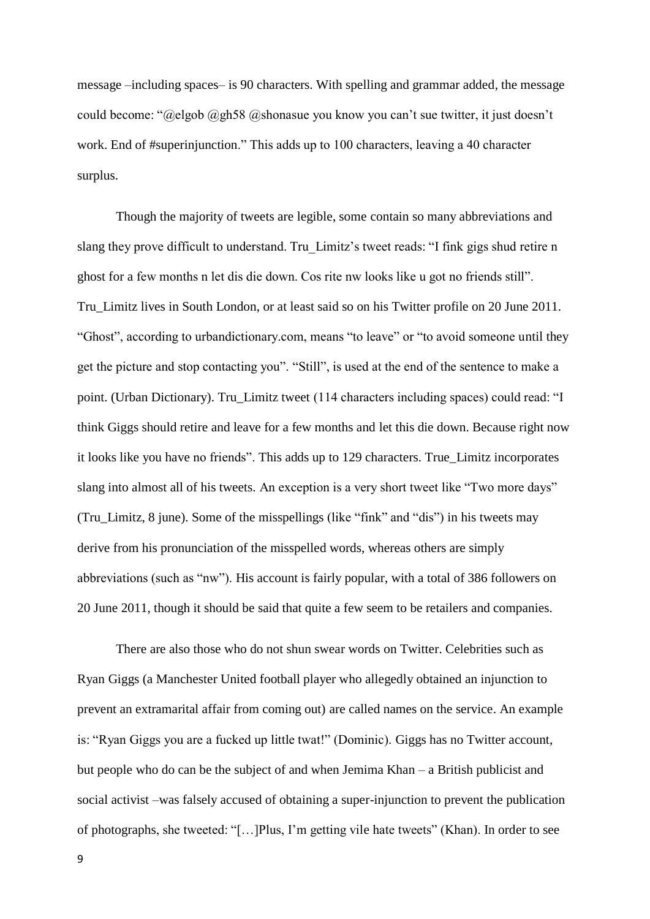message –including spaces– is 90 characters. With spelling and grammar added, the message could become: "@elgob @gh58 @shonasue you know you can't sue twitter, it just doesn't work. End of #superinjunction." This adds up to 100 characters, leaving a 40 character surplus.

Though the majority of tweets are legible, some contain so many abbreviations and slang they prove difficult to understand. Tru Limitz's tweet reads: "I fink gigs shud retire n ghost for a few months n let dis die down. Cos rite nw looks like u got no friends still". Tru\_Limitz lives in South London, or at least said so on his Twitter profile on 20 June 2011. "Ghost", according to urbandictionary.com, means "to leave" or "to avoid someone until they get the picture and stop contacting you". "Still", is used at the end of the sentence to make a point. (Urban Dictionary). Tru\_Limitz tweet (114 characters including spaces) could read: "I think Giggs should retire and leave for a few months and let this die down. Because right now it looks like you have no friends". This adds up to 129 characters. True\_Limitz incorporates slang into almost all of his tweets. An exception is a very short tweet like "Two more days"  $(Tru_Limitz, 8 june)$ . Some of the misspellings (like "fink" and "dis") in his tweets may derive from his pronunciation of the misspelled words, whereas others are simply abbreviations (such as "nw"). His account is fairly popular, with a total of 386 followers on 20 June 2011, though it should be said that quite a few seem to be retailers and companies.

There are also those who do not shun swear words on Twitter. Celebrities such as Ryan Giggs (a Manchester United football player who allegedly obtained an injunction to prevent an extramarital affair from coming out) are called names on the service. An example is: "Ryan Giggs you are a fucked up little twat!" (Dominic). Giggs has no Twitter account, but people who do can be the subject of and when Jemima Khan – a British publicist and social activist –was falsely accused of obtaining a super-injunction to prevent the publication of photographs, she tweeted: "[...]Plus, I'm getting vile hate tweets" (Khan). In order to see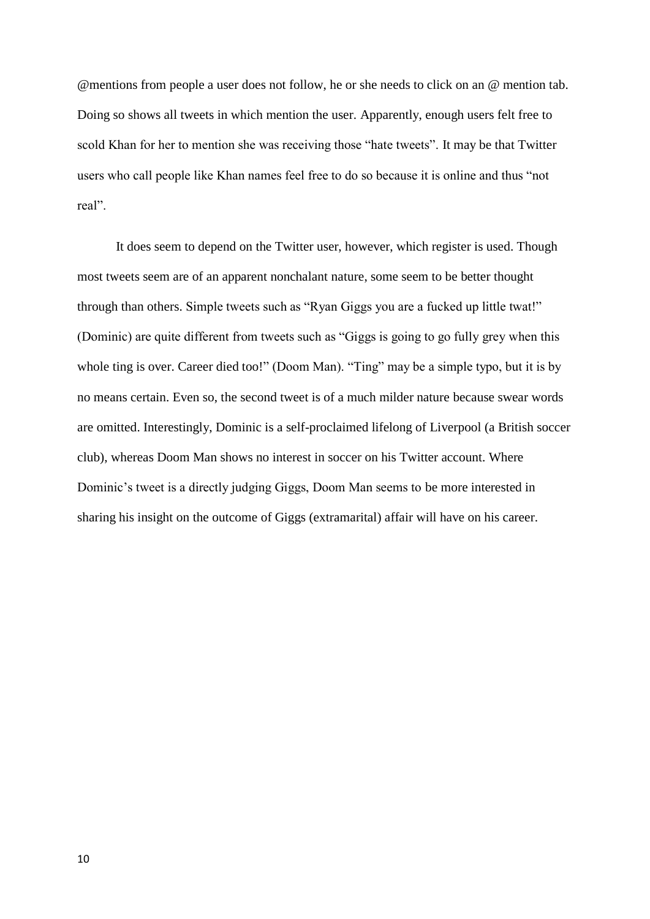@mentions from people a user does not follow, he or she needs to click on an @ mention tab. Doing so shows all tweets in which mention the user. Apparently, enough users felt free to scold Khan for her to mention she was receiving those "hate tweets". It may be that Twitter users who call people like Khan names feel free to do so because it is online and thus "not real".

It does seem to depend on the Twitter user, however, which register is used. Though most tweets seem are of an apparent nonchalant nature, some seem to be better thought through than others. Simple tweets such as "Ryan Giggs you are a fucked up little twat!" (Dominic) are quite different from tweets such as "Giggs is going to go fully grey when this whole ting is over. Career died too!" (Doom Man). "Ting" may be a simple typo, but it is by no means certain. Even so, the second tweet is of a much milder nature because swear words are omitted. Interestingly, Dominic is a self-proclaimed lifelong of Liverpool (a British soccer club), whereas Doom Man shows no interest in soccer on his Twitter account. Where Dominic's tweet is a directly judging Giggs, Doom Man seems to be more interested in sharing his insight on the outcome of Giggs (extramarital) affair will have on his career.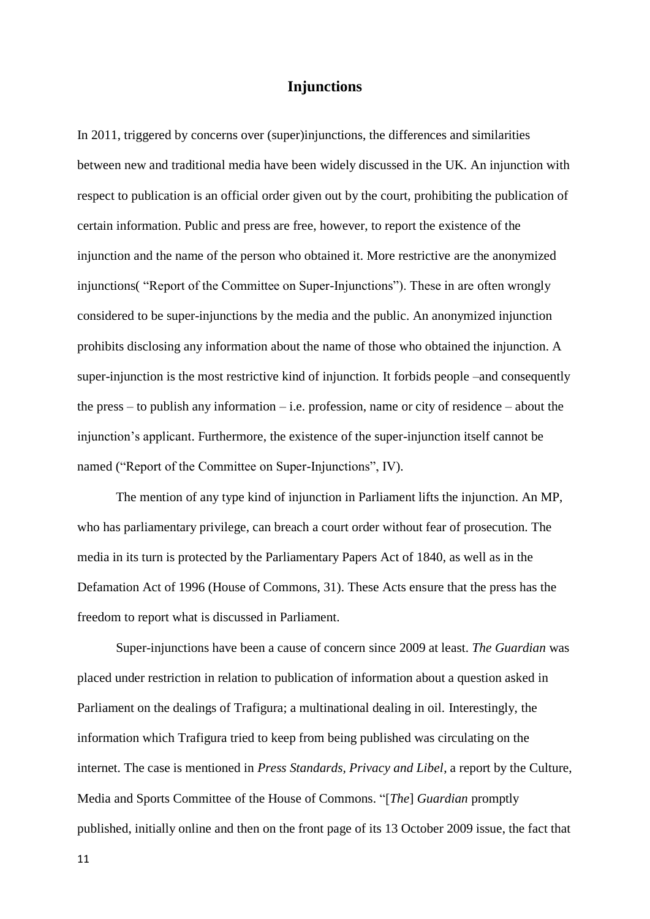### **Injunctions**

<span id="page-11-0"></span>In 2011, triggered by concerns over (super)injunctions, the differences and similarities between new and traditional media have been widely discussed in the UK. An injunction with respect to publication is an official order given out by the court, prohibiting the publication of certain information. Public and press are free, however, to report the existence of the injunction and the name of the person who obtained it. More restrictive are the anonymized injunctions( "Report of the Committee on Super-Injunctions"). These in are often wrongly considered to be super-injunctions by the media and the public. An anonymized injunction prohibits disclosing any information about the name of those who obtained the injunction. A super-injunction is the most restrictive kind of injunction. It forbids people –and consequently the press – to publish any information – i.e. profession, name or city of residence – about the injunction's applicant. Furthermore, the existence of the super-injunction itself cannot be named ("Report of the Committee on Super-Injunctions", IV).

The mention of any type kind of injunction in Parliament lifts the injunction. An MP, who has parliamentary privilege, can breach a court order without fear of prosecution. The media in its turn is protected by the Parliamentary Papers Act of 1840, as well as in the Defamation Act of 1996 (House of Commons, 31). These Acts ensure that the press has the freedom to report what is discussed in Parliament.

Super-injunctions have been a cause of concern since 2009 at least. *The Guardian* was placed under restriction in relation to publication of information about a question asked in Parliament on the dealings of Trafigura; a multinational dealing in oil. Interestingly, the information which Trafigura tried to keep from being published was circulating on the internet. The case is mentioned in *Press Standards, Privacy and Libel*, a report by the Culture, Media and Sports Committee of the House of Commons. ―[*The*] *Guardian* promptly published, initially online and then on the front page of its 13 October 2009 issue, the fact that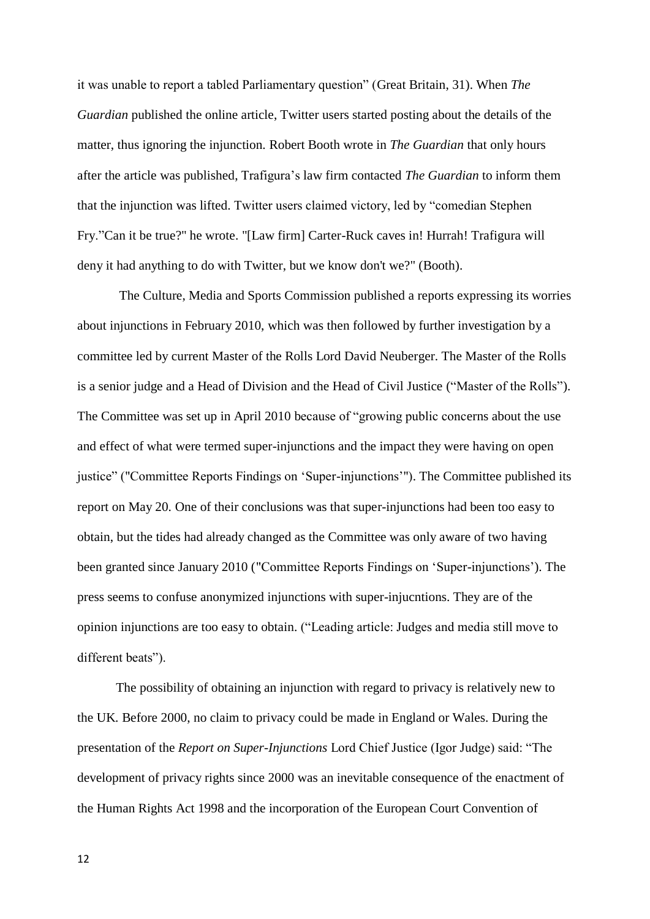it was unable to report a tabled Parliamentary question" (Great Britain, 31). When *The Guardian* published the online article, Twitter users started posting about the details of the matter, thus ignoring the injunction. Robert Booth wrote in *The Guardian* that only hours after the article was published, Trafigura's law firm contacted *The Guardian* to inform them that the injunction was lifted. Twitter users claimed victory, led by "comedian Stephen" Fry."Can it be true?" he wrote. "[Law firm] Carter-Ruck caves in! Hurrah! Trafigura will deny it had anything to do with Twitter, but we know don't we?" (Booth).

The Culture, Media and Sports Commission published a reports expressing its worries about injunctions in February 2010, which was then followed by further investigation by a committee led by current Master of the Rolls Lord David Neuberger. The Master of the Rolls is a senior judge and a Head of Division and the Head of Civil Justice ("Master of the Rolls"). The Committee was set up in April 2010 because of "growing public concerns about the use and effect of what were termed super-injunctions and the impact they were having on open justice" ("Committee Reports Findings on 'Super-injunctions'"). The Committee published its report on May 20. One of their conclusions was that super-injunctions had been too easy to obtain, but the tides had already changed as the Committee was only aware of two having been granted since January 2010 ("Committee Reports Findings on 'Super-injunctions'). The press seems to confuse anonymized injunctions with super-injucntions. They are of the opinion injunctions are too easy to obtain. ("Leading article: Judges and media still move to different beats").

The possibility of obtaining an injunction with regard to privacy is relatively new to the UK. Before 2000, no claim to privacy could be made in England or Wales. During the presentation of the *Report on Super-Injunctions* Lord Chief Justice (Igor Judge) said: "The development of privacy rights since 2000 was an inevitable consequence of the enactment of the Human Rights Act 1998 and the incorporation of the European Court Convention of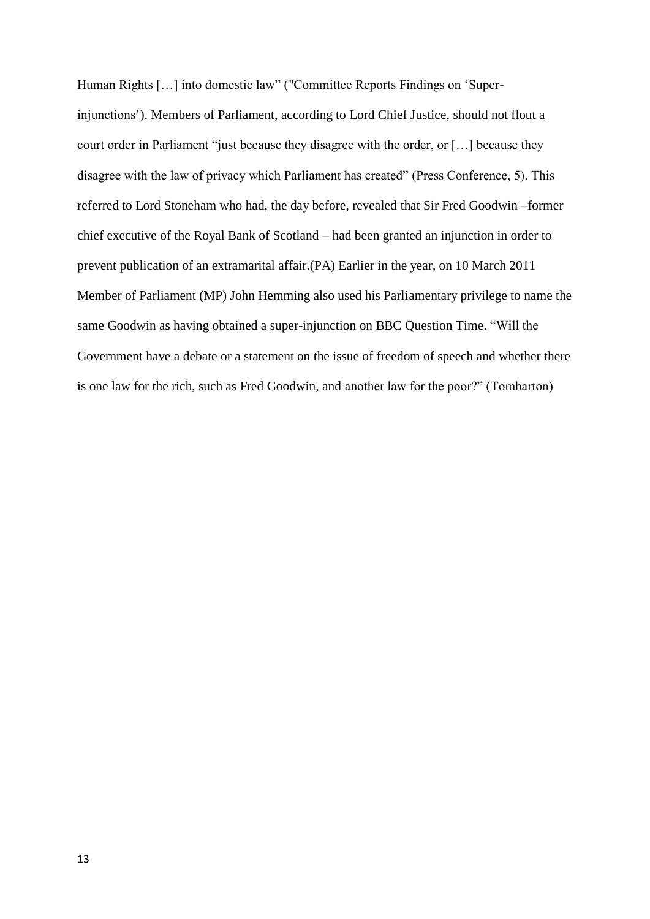Human Rights [...] into domestic law" ("Committee Reports Findings on 'Superinjunctions'). Members of Parliament, according to Lord Chief Justice, should not flout a court order in Parliament "just because they disagree with the order, or [...] because they disagree with the law of privacy which Parliament has created" (Press Conference, 5). This referred to Lord Stoneham who had, the day before, revealed that Sir Fred Goodwin –former chief executive of the Royal Bank of Scotland – had been granted an injunction in order to prevent publication of an extramarital affair.(PA) Earlier in the year, on 10 March 2011 Member of Parliament (MP) John Hemming also used his Parliamentary privilege to name the same Goodwin as having obtained a super-injunction on BBC Question Time. "Will the Government have a debate or a statement on the issue of freedom of speech and whether there is one law for the rich, such as Fred Goodwin, and another law for the poor?" (Tombarton)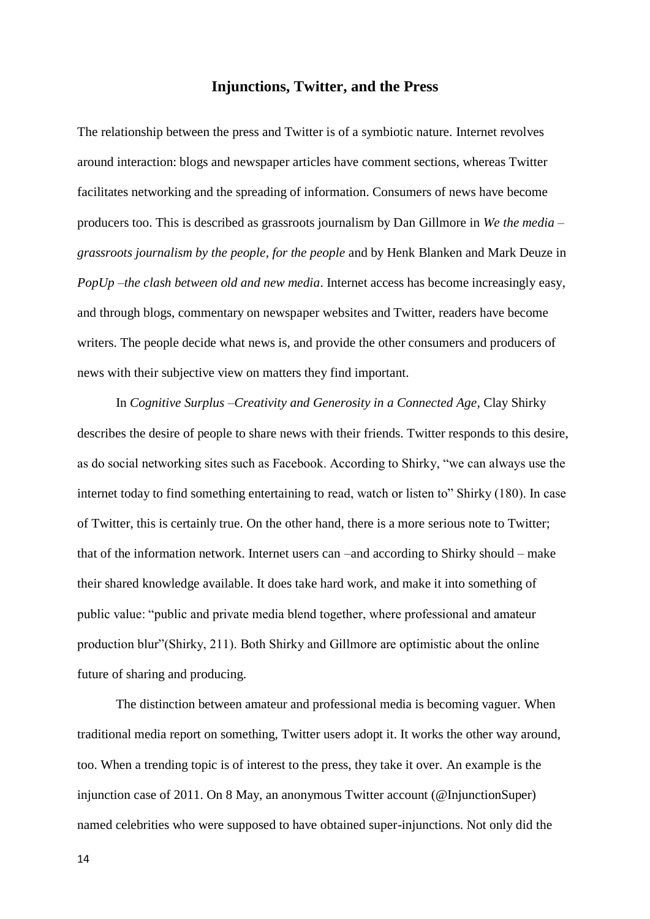#### **Injunctions, Twitter, and the Press**

<span id="page-14-0"></span>The relationship between the press and Twitter is of a symbiotic nature. Internet revolves around interaction: blogs and newspaper articles have comment sections, whereas Twitter facilitates networking and the spreading of information. Consumers of news have become producers too. This is described as grassroots journalism by Dan Gillmore in *We the media – grassroots journalism by the people, for the people* and by Henk Blanken and Mark Deuze in *PopUp –the clash between old and new media*. Internet access has become increasingly easy, and through blogs, commentary on newspaper websites and Twitter, readers have become writers. The people decide what news is, and provide the other consumers and producers of news with their subjective view on matters they find important.

In *Cognitive Surplus –Creativity and Generosity in a Connected Age,* Clay Shirky describes the desire of people to share news with their friends. Twitter responds to this desire, as do social networking sites such as Facebook. According to Shirky, "we can always use the internet today to find something entertaining to read, watch or listen to" Shirky (180). In case of Twitter, this is certainly true. On the other hand, there is a more serious note to Twitter; that of the information network. Internet users can –and according to Shirky should – make their shared knowledge available. It does take hard work, and make it into something of public value: "public and private media blend together, where professional and amateur production blur"(Shirky, 211). Both Shirky and Gillmore are optimistic about the online future of sharing and producing.

The distinction between amateur and professional media is becoming vaguer. When traditional media report on something, Twitter users adopt it. It works the other way around, too. When a trending topic is of interest to the press, they take it over. An example is the injunction case of 2011. On 8 May, an anonymous Twitter account (@InjunctionSuper) named celebrities who were supposed to have obtained super-injunctions. Not only did the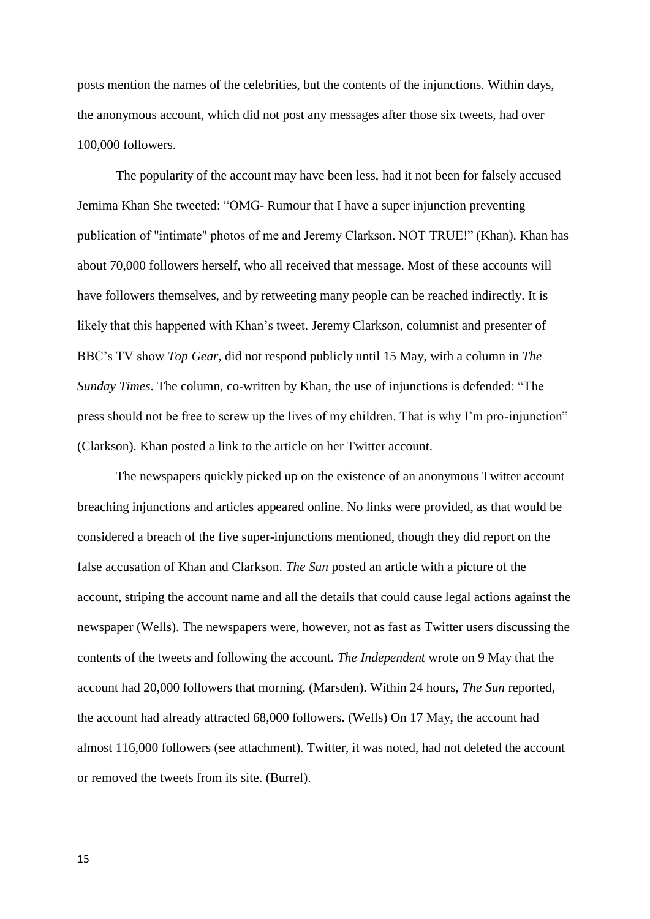posts mention the names of the celebrities, but the contents of the injunctions. Within days, the anonymous account, which did not post any messages after those six tweets, had over 100,000 followers.

The popularity of the account may have been less, had it not been for falsely accused Jemima Khan She tweeted: "OMG- Rumour that I have a super injunction preventing publication of "intimate" photos of me and Jeremy Clarkson. NOT TRUE!" (Khan). Khan has about 70,000 followers herself, who all received that message. Most of these accounts will have followers themselves, and by retweeting many people can be reached indirectly. It is likely that this happened with Khan's tweet. Jeremy Clarkson, columnist and presenter of BBC's TV show *Top Gear*, did not respond publicly until 15 May, with a column in *The Sunday Times*. The column, co-written by Khan, the use of injunctions is defended: "The press should not be free to screw up the lives of my children. That is why I'm pro-injunction" (Clarkson). Khan posted a link to the article on her Twitter account.

The newspapers quickly picked up on the existence of an anonymous Twitter account breaching injunctions and articles appeared online. No links were provided, as that would be considered a breach of the five super-injunctions mentioned, though they did report on the false accusation of Khan and Clarkson. *The Sun* posted an article with a picture of the account, striping the account name and all the details that could cause legal actions against the newspaper (Wells). The newspapers were, however, not as fast as Twitter users discussing the contents of the tweets and following the account. *The Independent* wrote on 9 May that the account had 20,000 followers that morning. (Marsden). Within 24 hours, *The Sun* reported, the account had already attracted 68,000 followers. (Wells) On 17 May, the account had almost 116,000 followers (see attachment). Twitter, it was noted, had not deleted the account or removed the tweets from its site. (Burrel).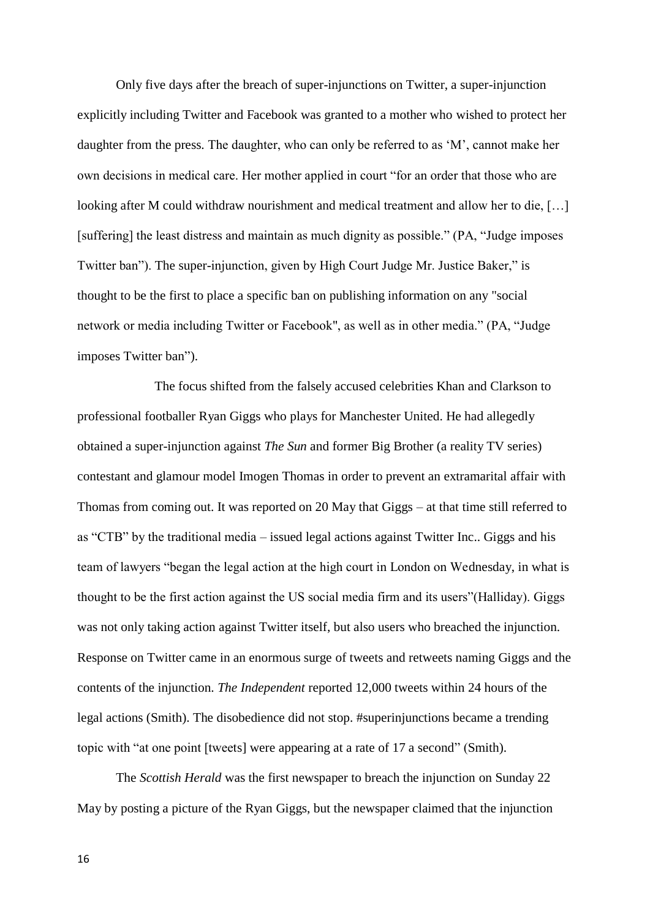Only five days after the breach of super-injunctions on Twitter, a super-injunction explicitly including Twitter and Facebook was granted to a mother who wished to protect her daughter from the press. The daughter, who can only be referred to as 'M', cannot make her own decisions in medical care. Her mother applied in court "for an order that those who are looking after M could withdraw nourishment and medical treatment and allow her to die, [...] [suffering] the least distress and maintain as much dignity as possible." (PA, "Judge imposes") Twitter ban"). The super-injunction, given by High Court Judge Mr. Justice Baker," is thought to be the first to place a specific ban on publishing information on any "social network or media including Twitter or Facebook", as well as in other media." (PA, "Judge imposes Twitter ban").

The focus shifted from the falsely accused celebrities Khan and Clarkson to professional footballer Ryan Giggs who plays for Manchester United. He had allegedly obtained a super-injunction against *The Sun* and former Big Brother (a reality TV series) contestant and glamour model Imogen Thomas in order to prevent an extramarital affair with Thomas from coming out. It was reported on 20 May that Giggs – at that time still referred to as "CTB" by the traditional media – issued legal actions against Twitter Inc.. Giggs and his team of lawyers "began the legal action at the high court in London on Wednesday, in what is thought to be the first action against the US social media firm and its users" (Halliday). Giggs was not only taking action against Twitter itself, but also users who breached the injunction. Response on Twitter came in an enormous surge of tweets and retweets naming Giggs and the contents of the injunction. *The Independent* reported 12,000 tweets within 24 hours of the legal actions (Smith). The disobedience did not stop. #superinjunctions became a trending topic with "at one point [tweets] were appearing at a rate of 17 a second" (Smith).

The *Scottish Herald* was the first newspaper to breach the injunction on Sunday 22 May by posting a picture of the Ryan Giggs, but the newspaper claimed that the injunction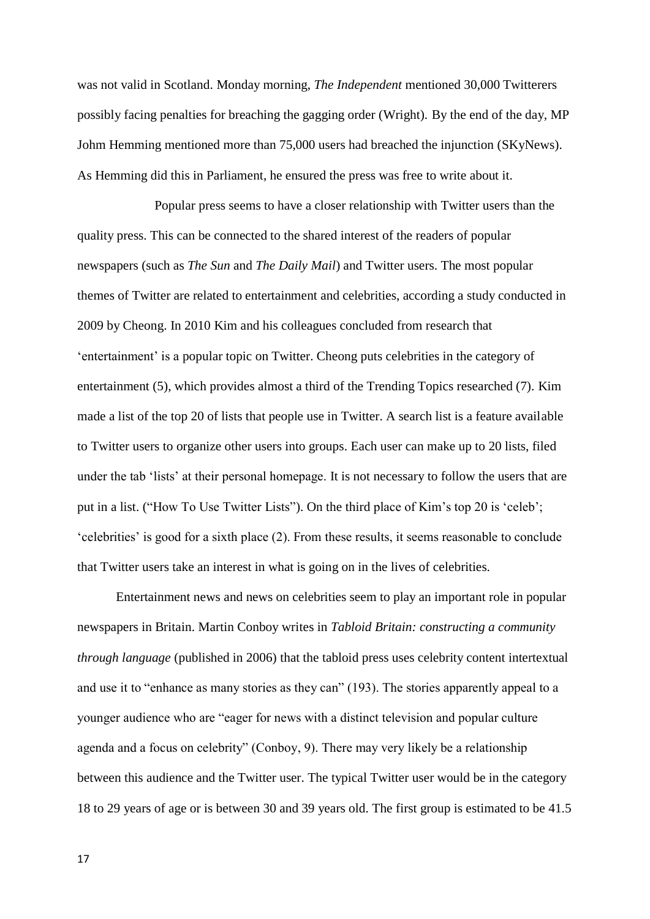was not valid in Scotland. Monday morning, *The Independent* mentioned 30,000 Twitterers possibly facing penalties for breaching the gagging order (Wright). By the end of the day, MP Johm Hemming mentioned more than 75,000 users had breached the injunction (SKyNews). As Hemming did this in Parliament, he ensured the press was free to write about it.

Popular press seems to have a closer relationship with Twitter users than the quality press. This can be connected to the shared interest of the readers of popular newspapers (such as *The Sun* and *The Daily Mail*) and Twitter users. The most popular themes of Twitter are related to entertainment and celebrities, according a study conducted in 2009 by Cheong. In 2010 Kim and his colleagues concluded from research that ‗entertainment' is a popular topic on Twitter. Cheong puts celebrities in the category of entertainment (5), which provides almost a third of the Trending Topics researched (7). Kim made a list of the top 20 of lists that people use in Twitter. A search list is a feature available to Twitter users to organize other users into groups. Each user can make up to 20 lists, filed under the tab 'lists' at their personal homepage. It is not necessary to follow the users that are put in a list. ("How To Use Twitter Lists"). On the third place of Kim's top 20 is 'celeb'; ‗celebrities' is good for a sixth place (2). From these results, it seems reasonable to conclude that Twitter users take an interest in what is going on in the lives of celebrities.

Entertainment news and news on celebrities seem to play an important role in popular newspapers in Britain. Martin Conboy writes in *Tabloid Britain: constructing a community through language* (published in 2006) that the tabloid press uses celebrity content intertextual and use it to "enhance as many stories as they can" (193). The stories apparently appeal to a younger audience who are "eager for news with a distinct television and popular culture agenda and a focus on celebrity" (Conboy, 9). There may very likely be a relationship between this audience and the Twitter user. The typical Twitter user would be in the category 18 to 29 years of age or is between 30 and 39 years old. The first group is estimated to be 41.5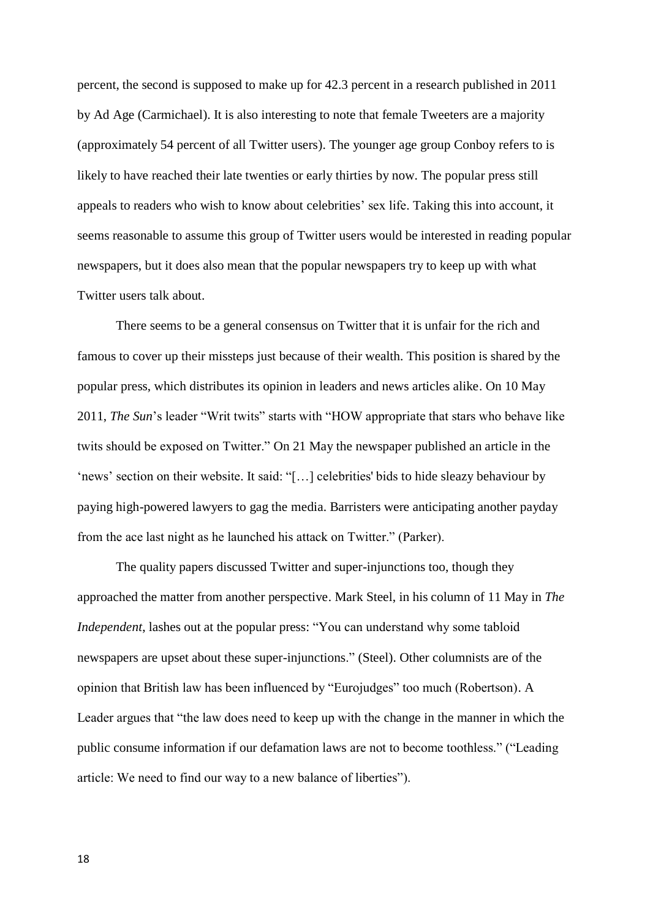percent, the second is supposed to make up for 42.3 percent in a research published in 2011 by Ad Age (Carmichael). It is also interesting to note that female Tweeters are a majority (approximately 54 percent of all Twitter users). The younger age group Conboy refers to is likely to have reached their late twenties or early thirties by now. The popular press still appeals to readers who wish to know about celebrities' sex life. Taking this into account, it seems reasonable to assume this group of Twitter users would be interested in reading popular newspapers, but it does also mean that the popular newspapers try to keep up with what Twitter users talk about.

There seems to be a general consensus on Twitter that it is unfair for the rich and famous to cover up their missteps just because of their wealth. This position is shared by the popular press, which distributes its opinion in leaders and news articles alike. On 10 May 2011, *The Sun*'s leader "Writ twits" starts with "HOW appropriate that stars who behave like twits should be exposed on Twitter." On 21 May the newspaper published an article in the 'news' section on their website. It said: "[...] celebrities' bids to hide sleazy behaviour by paying high-powered lawyers to gag the media. Barristers were anticipating another payday from the ace last night as he launched his attack on Twitter." (Parker).

The quality papers discussed Twitter and super-injunctions too, though they approached the matter from another perspective. Mark Steel, in his column of 11 May in *The Independent*, lashes out at the popular press: "You can understand why some tabloid newspapers are upset about these super-injunctions." (Steel). Other columnists are of the opinion that British law has been influenced by "Eurojudges" too much (Robertson). A Leader argues that "the law does need to keep up with the change in the manner in which the public consume information if our defamation laws are not to become toothless." ("Leading article: We need to find our way to a new balance of liberties".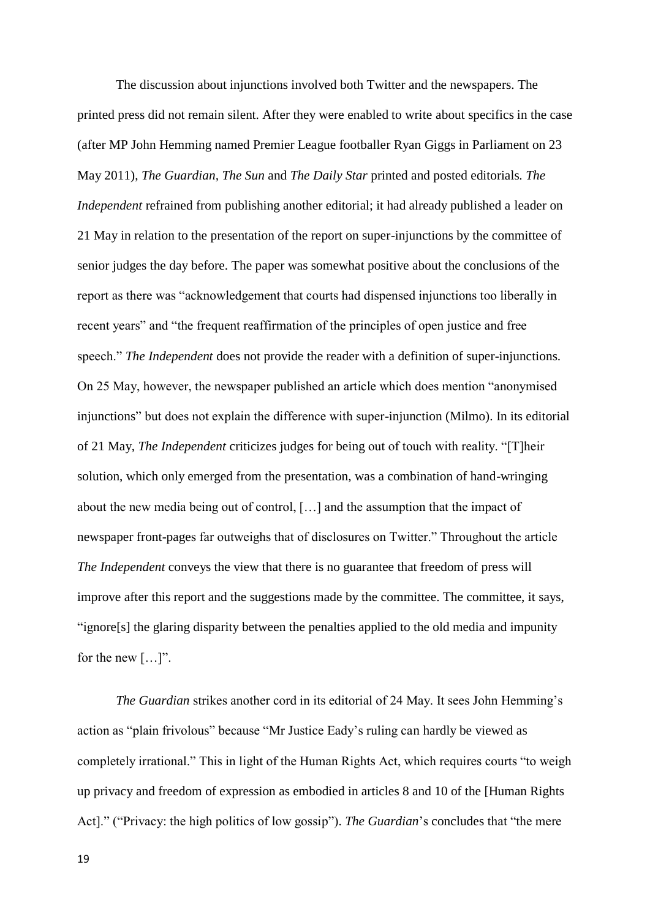The discussion about injunctions involved both Twitter and the newspapers. The printed press did not remain silent. After they were enabled to write about specifics in the case (after MP John Hemming named Premier League footballer Ryan Giggs in Parliament on 23 May 2011), *The Guardian, The Sun* and *The Daily Star* printed and posted editorials. *The Independent* refrained from publishing another editorial; it had already published a leader on 21 May in relation to the presentation of the report on super-injunctions by the committee of senior judges the day before. The paper was somewhat positive about the conclusions of the report as there was "acknowledgement that courts had dispensed injunctions too liberally in recent years" and "the frequent reaffirmation of the principles of open justice and free speech." *The Independent* does not provide the reader with a definition of super-injunctions. On 25 May, however, the newspaper published an article which does mention "anonymised" injunctions" but does not explain the difference with super-injunction (Milmo). In its editorial of 21 May, *The Independent* criticizes judges for being out of touch with reality. "[T]heir solution, which only emerged from the presentation, was a combination of hand-wringing about the new media being out of control, […] and the assumption that the impact of newspaper front-pages far outweighs that of disclosures on Twitter." Throughout the article *The Independent* conveys the view that there is no guarantee that freedom of press will improve after this report and the suggestions made by the committee. The committee, it says, "ignore[s] the glaring disparity between the penalties applied to the old media and impunity for the new  $[\dots]$ ".

*The Guardian* strikes another cord in its editorial of 24 May. It sees John Hemming's action as "plain frivolous" because "Mr Justice Eady's ruling can hardly be viewed as completely irrational." This in light of the Human Rights Act, which requires courts "to weigh up privacy and freedom of expression as embodied in articles 8 and 10 of the [Human Rights Act]." ("Privacy: the high politics of low gossip"). *The Guardian*'s concludes that "the mere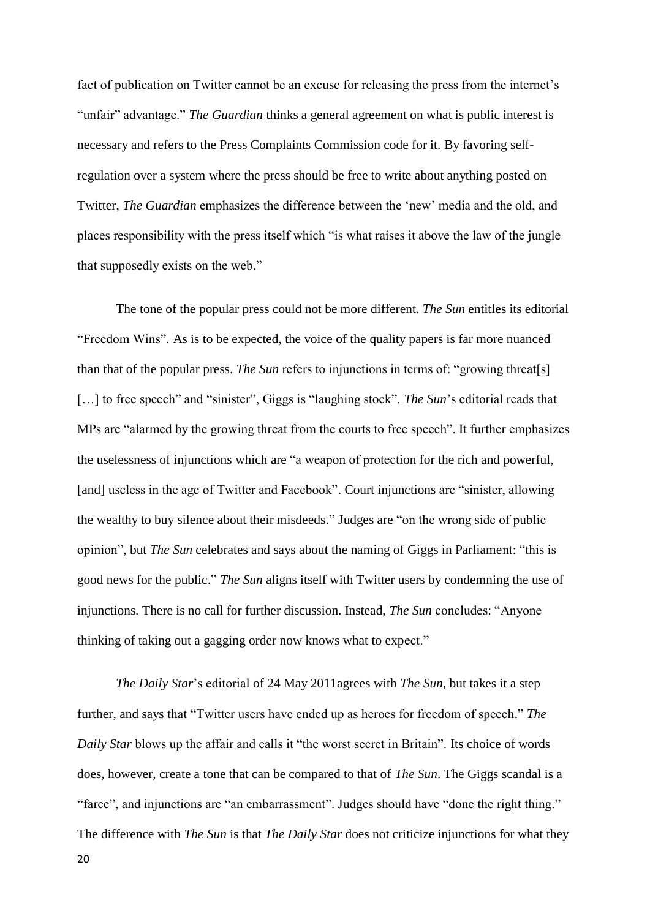fact of publication on Twitter cannot be an excuse for releasing the press from the internet's "unfair" advantage." *The Guardian* thinks a general agreement on what is public interest is necessary and refers to the Press Complaints Commission code for it. By favoring selfregulation over a system where the press should be free to write about anything posted on Twitter, *The Guardian* emphasizes the difference between the 'new' media and the old, and places responsibility with the press itself which ―is what raises it above the law of the jungle that supposedly exists on the web."

The tone of the popular press could not be more different. *The Sun* entitles its editorial ―Freedom Wins‖. As is to be expected, the voice of the quality papers is far more nuanced than that of the popular press. *The Sun* refers to injunctions in terms of: "growing threat[s] [...] to free speech" and "sinister", Giggs is "laughing stock". *The Sun*'s editorial reads that MPs are "alarmed by the growing threat from the courts to free speech". It further emphasizes the uselessness of injunctions which are "a weapon of protection for the rich and powerful, [and] useless in the age of Twitter and Facebook". Court injunctions are "sinister, allowing the wealthy to buy silence about their misdeeds." Judges are "on the wrong side of public opinion", but *The Sun* celebrates and says about the naming of Giggs in Parliament: "this is good news for the public.‖ *The Sun* aligns itself with Twitter users by condemning the use of injunctions. There is no call for further discussion. Instead, *The Sun* concludes: "Anyone thinking of taking out a gagging order now knows what to expect."

20 *The Daily Star*'s editorial of 24 May 2011agrees with *The Sun*, but takes it a step further, and says that "Twitter users have ended up as heroes for freedom of speech." The *Daily Star* blows up the affair and calls it "the worst secret in Britain". Its choice of words does, however, create a tone that can be compared to that of *The Sun*. The Giggs scandal is a "farce", and injunctions are "an embarrassment". Judges should have "done the right thing." The difference with *The Sun* is that *The Daily Star* does not criticize injunctions for what they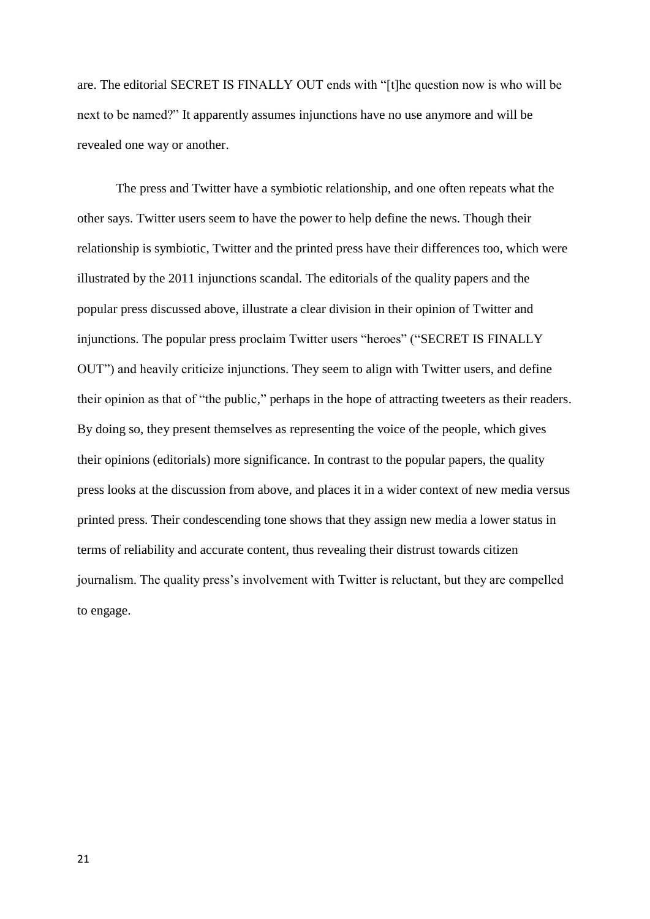are. The editorial SECRET IS FINALLY OUT ends with "[t]he question now is who will be next to be named?" It apparently assumes injunctions have no use anymore and will be revealed one way or another.

The press and Twitter have a symbiotic relationship, and one often repeats what the other says. Twitter users seem to have the power to help define the news. Though their relationship is symbiotic, Twitter and the printed press have their differences too, which were illustrated by the 2011 injunctions scandal. The editorials of the quality papers and the popular press discussed above, illustrate a clear division in their opinion of Twitter and injunctions. The popular press proclaim Twitter users "heroes" ("SECRET IS FINALLY OUT") and heavily criticize injunctions. They seem to align with Twitter users, and define their opinion as that of "the public," perhaps in the hope of attracting tweeters as their readers. By doing so, they present themselves as representing the voice of the people, which gives their opinions (editorials) more significance. In contrast to the popular papers, the quality press looks at the discussion from above, and places it in a wider context of new media versus printed press. Their condescending tone shows that they assign new media a lower status in terms of reliability and accurate content, thus revealing their distrust towards citizen journalism. The quality press's involvement with Twitter is reluctant, but they are compelled to engage.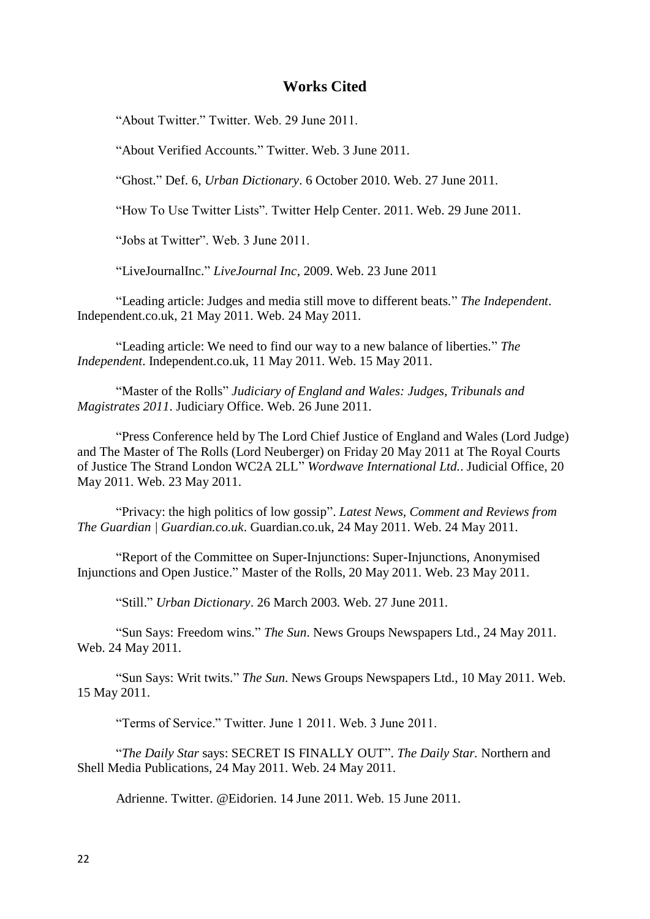### **Works Cited**

<span id="page-22-0"></span>"About Twitter." Twitter. Web. 29 June 2011.

"About Verified Accounts." Twitter. Web. 3 June 2011.

―Ghost.‖ Def. 6, *Urban Dictionary*. 6 October 2010. Web. 27 June 2011.

"How To Use Twitter Lists". Twitter Help Center. 2011. Web. 29 June 2011.

"Jobs at Twitter". Web. 3 June 2011.

―LiveJournalInc.‖ *LiveJournal Inc*, 2009. Web. 23 June 2011

―Leading article: Judges and media still move to different beats.‖ *The Independent*. Independent.co.uk, 21 May 2011. Web. 24 May 2011.

―Leading article: We need to find our way to a new balance of liberties.‖ *The Independent*. Independent.co.uk, 11 May 2011. Web. 15 May 2011.

―Master of the Rolls‖ *Judiciary of England and Wales: Judges, Tribunals and Magistrates 2011*. Judiciary Office. Web. 26 June 2011.

―Press Conference held by The Lord Chief Justice of England and Wales (Lord Judge) and The Master of The Rolls (Lord Neuberger) on Friday 20 May 2011 at The Royal Courts of Justice The Strand London WC2A 2LL" *Wordwave International Ltd.*. Judicial Office, 20 May 2011. Web. 23 May 2011.

―Privacy: the high politics of low gossip‖. *Latest News, Comment and Reviews from The Guardian | Guardian.co.uk*. Guardian.co.uk, 24 May 2011. Web. 24 May 2011.

―Report of the Committee on Super-Injunctions: Super-Injunctions, Anonymised Injunctions and Open Justice." Master of the Rolls, 20 May 2011. Web. 23 May 2011.

―Still.‖ *Urban Dictionary*. 26 March 2003. Web. 27 June 2011.

―Sun Says: Freedom wins.‖ *The Sun*. News Groups Newspapers Ltd., 24 May 2011. Web. 24 May 2011.

―Sun Says: Writ twits.‖ *The Sun*. News Groups Newspapers Ltd., 10 May 2011. Web. 15 May 2011.

―Terms of Service.‖ Twitter. June 1 2011. Web. 3 June 2011.

―*The Daily Star* says: SECRET IS FINALLY OUT‖. *The Daily Star.* Northern and Shell Media Publications, 24 May 2011. Web. 24 May 2011.

Adrienne. Twitter. @Eidorien. 14 June 2011. Web. 15 June 2011.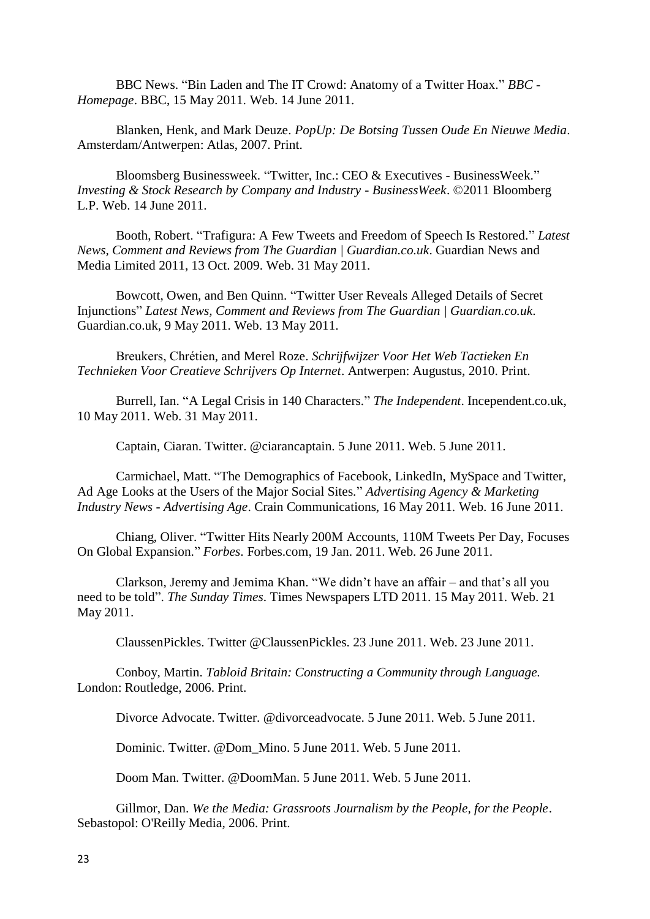BBC News. "Bin Laden and The IT Crowd: Anatomy of a Twitter Hoax." BBC -*Homepage*. BBC, 15 May 2011. Web. 14 June 2011.

Blanken, Henk, and Mark Deuze. *PopUp: De Botsing Tussen Oude En Nieuwe Media*. Amsterdam/Antwerpen: Atlas, 2007. Print.

Bloomsberg Businessweek. "Twitter, Inc.: CEO & Executives - BusinessWeek." *Investing & Stock Research by Company and Industry - BusinessWeek*. ©2011 Bloomberg L.P. Web. 14 June 2011.

Booth, Robert. "Trafigura: A Few Tweets and Freedom of Speech Is Restored." *Latest News, Comment and Reviews from The Guardian | Guardian.co.uk*. Guardian News and Media Limited 2011, 13 Oct. 2009. Web. 31 May 2011.

Bowcott, Owen, and Ben Quinn. "Twitter User Reveals Alleged Details of Secret Injunctions‖ *Latest News, Comment and Reviews from The Guardian | Guardian.co.uk*. Guardian.co.uk, 9 May 2011. Web. 13 May 2011.

Breukers, Chrétien, and Merel Roze. *Schrijfwijzer Voor Het Web Tactieken En Technieken Voor Creatieve Schrijvers Op Internet*. Antwerpen: Augustus, 2010. Print.

Burrell, Ian. "A Legal Crisis in 140 Characters." *The Independent*. Incependent.co.uk, 10 May 2011. Web. 31 May 2011.

Captain, Ciaran. Twitter. @ciarancaptain. 5 June 2011. Web. 5 June 2011.

Carmichael, Matt. "The Demographics of Facebook, LinkedIn, MySpace and Twitter, Ad Age Looks at the Users of the Major Social Sites.‖ *Advertising Agency & Marketing Industry News - Advertising Age*. Crain Communications, 16 May 2011. Web. 16 June 2011.

Chiang, Oliver. "Twitter Hits Nearly 200M Accounts, 110M Tweets Per Day, Focuses On Global Expansion." *Forbes*. Forbes.com, 19 Jan. 2011. Web. 26 June 2011.

Clarkson, Jeremy and Jemima Khan. "We didn't have an affair – and that's all you need to be told". *The Sunday Times*. Times Newspapers LTD 2011. 15 May 2011. Web. 21 May 2011.

ClaussenPickles. Twitter @ClaussenPickles. 23 June 2011. Web. 23 June 2011.

Conboy, Martin. *Tabloid Britain: Constructing a Community through Language.* London: Routledge, 2006. Print.

Divorce Advocate. Twitter. @divorceadvocate. 5 June 2011. Web. 5 June 2011.

Dominic. Twitter. @Dom\_Mino. 5 June 2011. Web. 5 June 2011.

Doom Man. Twitter. @DoomMan. 5 June 2011. Web. 5 June 2011.

Gillmor, Dan. *We the Media: Grassroots Journalism by the People, for the People*. Sebastopol: O'Reilly Media, 2006. Print.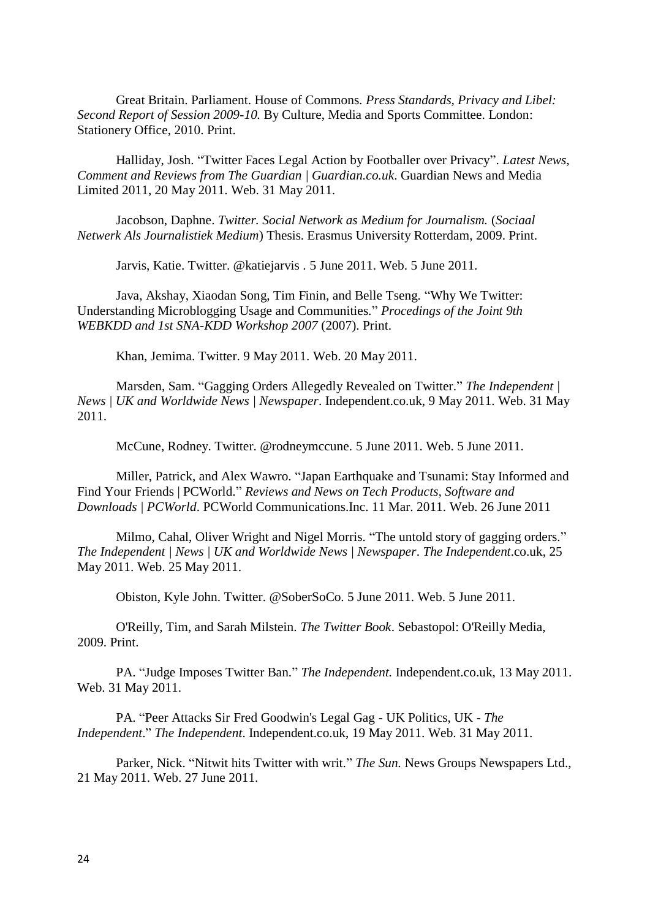Great Britain. Parliament. House of Commons. *Press Standards, Privacy and Libel: Second Report of Session 2009-10.* By Culture, Media and Sports Committee. London: Stationery Office, 2010. Print.

Halliday, Josh. "Twitter Faces Legal Action by Footballer over Privacy". *Latest News*, *Comment and Reviews from The Guardian | Guardian.co.uk*. Guardian News and Media Limited 2011, 20 May 2011. Web. 31 May 2011.

Jacobson, Daphne. *Twitter. Social Network as Medium for Journalism.* (*Sociaal Netwerk Als Journalistiek Medium*) Thesis. Erasmus University Rotterdam, 2009. Print.

Jarvis, Katie. Twitter. @katiejarvis . 5 June 2011. Web. 5 June 2011.

Java, Akshay, Xiaodan Song, Tim Finin, and Belle Tseng. "Why We Twitter: Understanding Microblogging Usage and Communities.‖ *Procedings of the Joint 9th WEBKDD and 1st SNA-KDD Workshop 2007* (2007). Print.

Khan, Jemima. Twitter. 9 May 2011. Web. 20 May 2011.

Marsden, Sam. "Gagging Orders Allegedly Revealed on Twitter." The Independent / *News | UK and Worldwide News | Newspaper*. Independent.co.uk, 9 May 2011. Web. 31 May 2011.

McCune, Rodney. Twitter. @rodneymccune. 5 June 2011. Web. 5 June 2011.

Miller, Patrick, and Alex Wawro. "Japan Earthquake and Tsunami: Stay Informed and Find Your Friends | PCWorld." Reviews and News on Tech Products, Software and *Downloads | PCWorld*. PCWorld Communications.Inc. 11 Mar. 2011. Web. 26 June 2011

Milmo, Cahal, Oliver Wright and Nigel Morris. "The untold story of gagging orders." *The Independent | News | UK and Worldwide News | Newspaper*. *The Independent*.co.uk, 25 May 2011. Web. 25 May 2011.

Obiston, Kyle John. Twitter. @SoberSoCo. 5 June 2011. Web. 5 June 2011.

O'Reilly, Tim, and Sarah Milstein. *The Twitter Book*. Sebastopol: O'Reilly Media, 2009. Print.

PA. "Judge Imposes Twitter Ban." *The Independent*. Independent.co.uk, 13 May 2011. Web. 31 May 2011.

PA. "Peer Attacks Sir Fred Goodwin's Legal Gag - UK Politics, UK - The *Independent*.‖ *The Independent*. Independent.co.uk, 19 May 2011. Web. 31 May 2011.

Parker, Nick. "Nitwit hits Twitter with writ." The Sun. News Groups Newspapers Ltd., 21 May 2011. Web. 27 June 2011.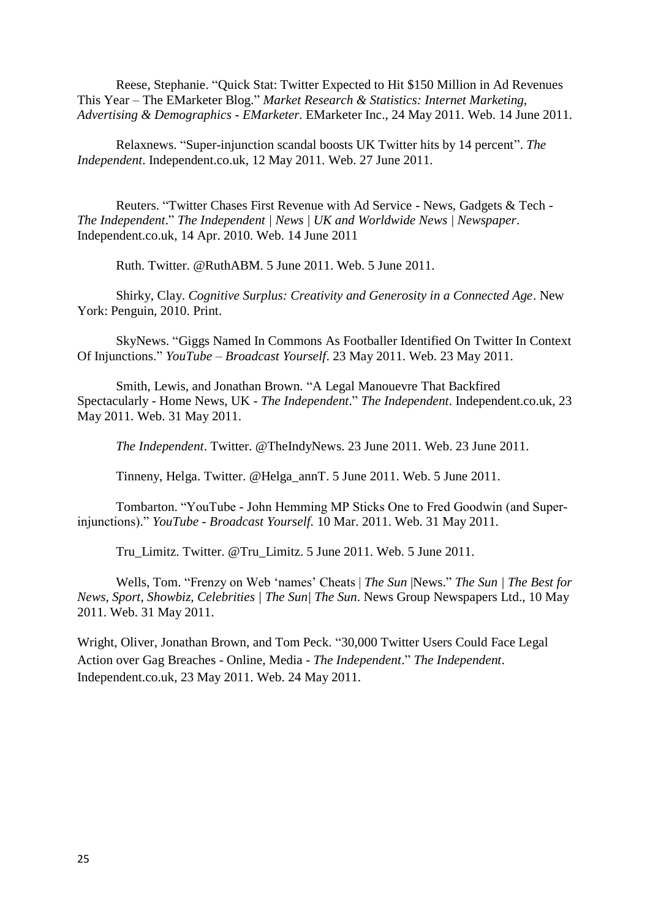Reese, Stephanie. "Ouick Stat: Twitter Expected to Hit \$150 Million in Ad Revenues This Year – The EMarketer Blog." Market Research & Statistics: Internet Marketing, *Advertising & Demographics - EMarketer*. EMarketer Inc., 24 May 2011. Web. 14 June 2011.

Relaxnews. "Super-injunction scandal boosts UK Twitter hits by 14 percent". *The Independent*. Independent.co.uk, 12 May 2011. Web. 27 June 2011.

Reuters. "Twitter Chases First Revenue with Ad Service - News, Gadgets & Tech -*The Independent*.‖ *The Independent | News | UK and Worldwide News | Newspaper*. Independent.co.uk, 14 Apr. 2010. Web. 14 June 2011

Ruth. Twitter. @RuthABM. 5 June 2011. Web. 5 June 2011.

Shirky, Clay. *Cognitive Surplus: Creativity and Generosity in a Connected Age*. New York: Penguin, 2010. Print.

SkyNews. ―Giggs Named In Commons As Footballer Identified On Twitter In Context Of Injunctions.‖ *YouTube – Broadcast Yourself*. 23 May 2011. Web. 23 May 2011.

Smith, Lewis, and Jonathan Brown. "A Legal Manouevre That Backfired Spectacularly - Home News, UK - *The Independent*." *The Independent*. Independent.co.uk, 23 May 2011. Web. 31 May 2011.

*The Independent*. Twitter. @TheIndyNews. 23 June 2011. Web. 23 June 2011.

Tinneny, Helga. Twitter. @Helga\_annT. 5 June 2011. Web. 5 June 2011.

Tombarton. "YouTube - John Hemming MP Sticks One to Fred Goodwin (and Superinjunctions)." *YouTube - Broadcast Yourself.* 10 Mar. 2011. Web. 31 May 2011.

Tru\_Limitz. Twitter. @Tru\_Limitz. 5 June 2011. Web. 5 June 2011.

Wells, Tom. "Frenzy on Web 'names' Cheats | *The Sun* | News." *The Sun | The Best for News, Sport, Showbiz, Celebrities | The Sun| The Sun*. News Group Newspapers Ltd., 10 May 2011. Web. 31 May 2011.

Wright, Oliver, Jonathan Brown, and Tom Peck. "30,000 Twitter Users Could Face Legal Action over Gag Breaches - Online, Media - *The Independent*.‖ *The Independent*. Independent.co.uk, 23 May 2011. Web. 24 May 2011.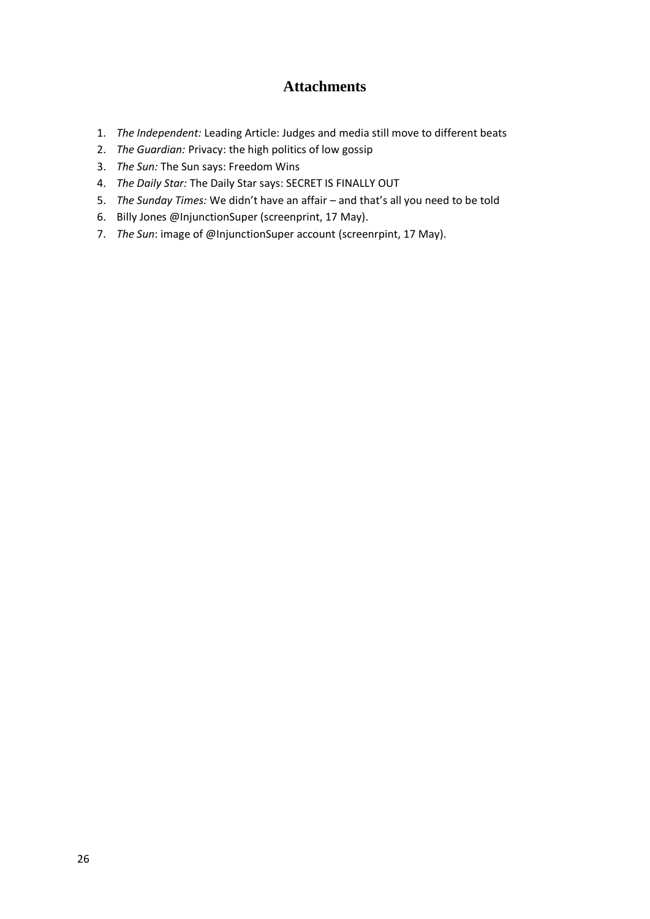### **Attachments**

- <span id="page-26-0"></span>1. *The Independent:* Leading Article: Judges and media still move to different beats
- 2. *The Guardian:* Privacy: the high politics of low gossip
- 3. *The Sun:* The Sun says: Freedom Wins
- 4. *The Daily Star:* The Daily Star says: SECRET IS FINALLY OUT
- 5. *The Sunday Times:* We didn't have an affair and that's all you need to be told
- 6. Billy Jones @InjunctionSuper (screenprint, 17 May).
- 7. *The Sun*: image of @InjunctionSuper account (screenrpint, 17 May).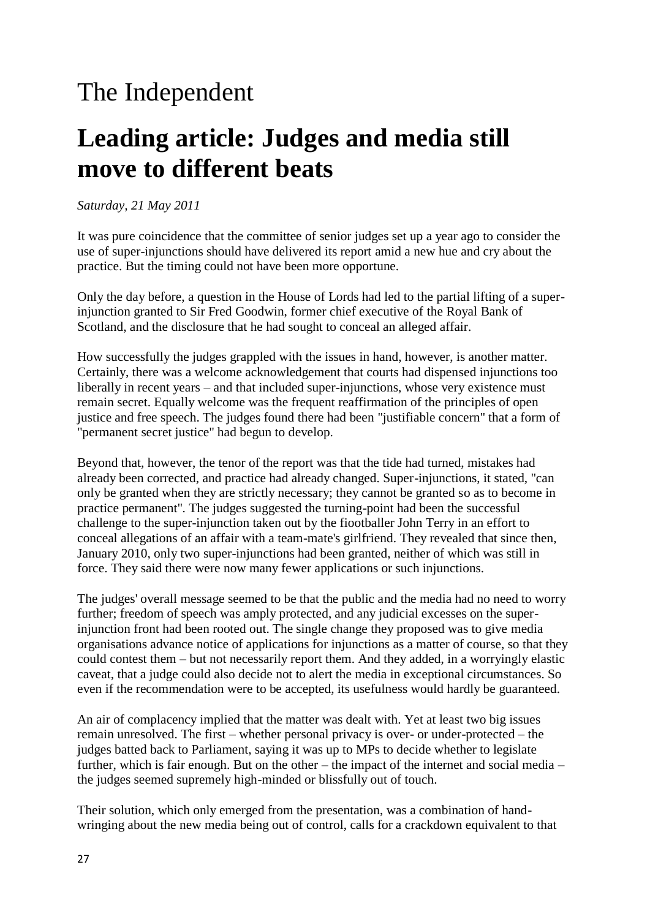# The Independent

# **Leading article: Judges and media still move to different beats**

### *Saturday, 21 May 2011*

It was pure coincidence that the committee of senior judges set up a year ago to consider the use of super-injunctions should have delivered its report amid a new hue and cry about the practice. But the timing could not have been more opportune.

Only the day before, a question in the House of Lords had led to the partial lifting of a superinjunction granted to Sir Fred Goodwin, former chief executive of the Royal Bank of Scotland, and the disclosure that he had sought to conceal an alleged affair.

How successfully the judges grappled with the issues in hand, however, is another matter. Certainly, there was a welcome acknowledgement that courts had dispensed injunctions too liberally in recent years – and that included super-injunctions, whose very existence must remain secret. Equally welcome was the frequent reaffirmation of the principles of open justice and free speech. The judges found there had been "justifiable concern" that a form of "permanent secret justice" had begun to develop.

Beyond that, however, the tenor of the report was that the tide had turned, mistakes had already been corrected, and practice had already changed. Super-injunctions, it stated, "can only be granted when they are strictly necessary; they cannot be granted so as to become in practice permanent". The judges suggested the turning-point had been the successful challenge to the super-injunction taken out by the fiootballer John Terry in an effort to conceal allegations of an affair with a team-mate's girlfriend. They revealed that since then, January 2010, only two super-injunctions had been granted, neither of which was still in force. They said there were now many fewer applications or such injunctions.

The judges' overall message seemed to be that the public and the media had no need to worry further; freedom of speech was amply protected, and any judicial excesses on the superinjunction front had been rooted out. The single change they proposed was to give media organisations advance notice of applications for injunctions as a matter of course, so that they could contest them – but not necessarily report them. And they added, in a worryingly elastic caveat, that a judge could also decide not to alert the media in exceptional circumstances. So even if the recommendation were to be accepted, its usefulness would hardly be guaranteed.

An air of complacency implied that the matter was dealt with. Yet at least two big issues remain unresolved. The first – whether personal privacy is over- or under-protected – the judges batted back to Parliament, saying it was up to MPs to decide whether to legislate further, which is fair enough. But on the other – the impact of the internet and social media – the judges seemed supremely high-minded or blissfully out of touch.

Their solution, which only emerged from the presentation, was a combination of handwringing about the new media being out of control, calls for a crackdown equivalent to that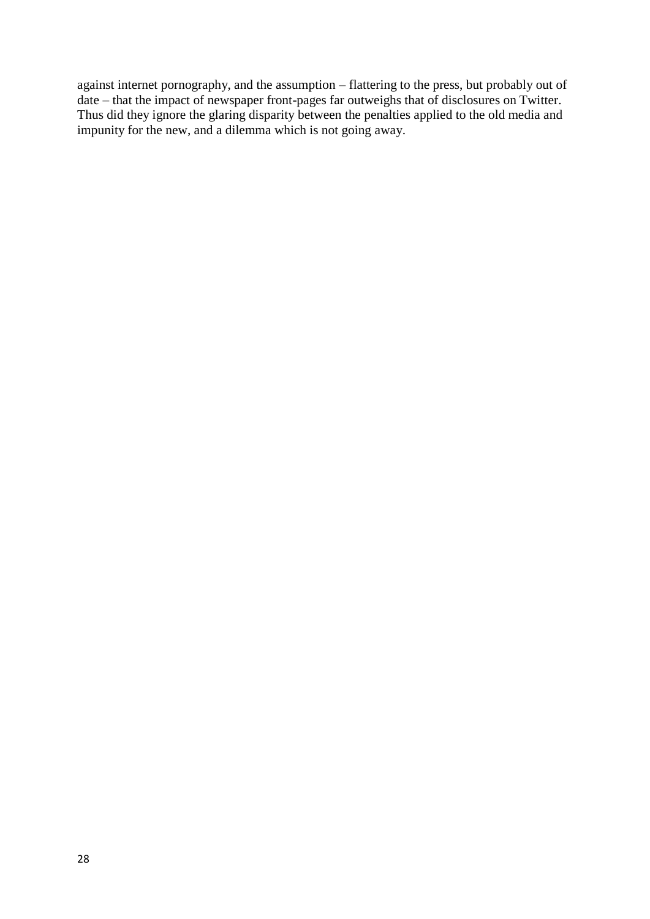against internet pornography, and the assumption – flattering to the press, but probably out of date – that the impact of newspaper front-pages far outweighs that of disclosures on Twitter. Thus did they ignore the glaring disparity between the penalties applied to the old media and impunity for the new, and a dilemma which is not going away.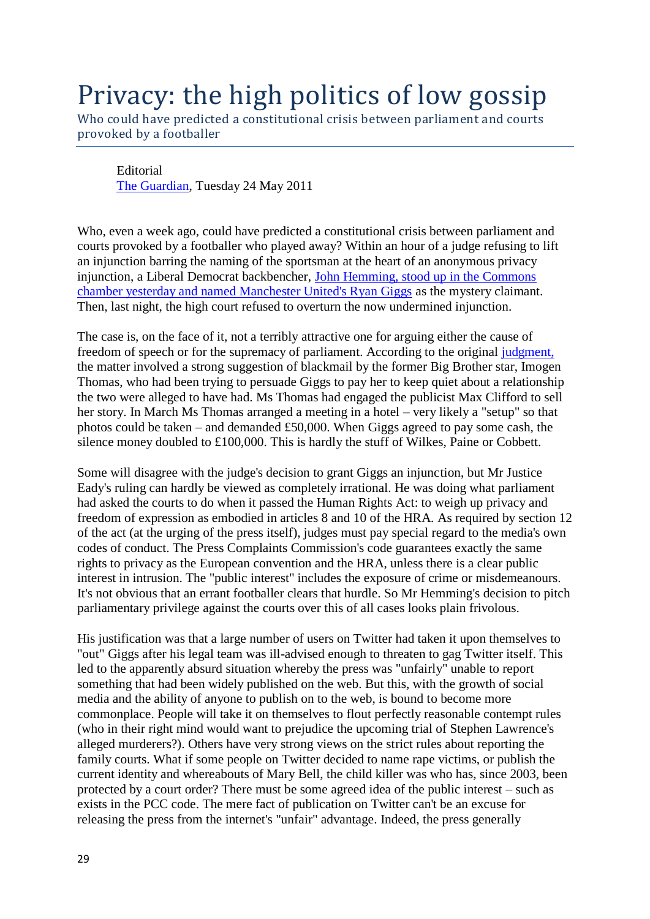# Privacy: the high politics of low gossip

Who could have predicted a constitutional crisis between parliament and courts provoked by a footballer

Editorial [The Guardian,](http://www.guardian.co.uk/theguardian) Tuesday 24 May 2011

Who, even a week ago, could have predicted a constitutional crisis between parliament and courts provoked by a footballer who played away? Within an hour of a judge refusing to lift an injunction barring the naming of the sportsman at the heart of an anonymous privacy injunction, a Liberal Democrat backbencher, [John Hemming, stood up in the Commons](http://www.guardian.co.uk/politics/2011/may/23/ryan-giggs-named-footballer-injunction-row)  [chamber yesterday and named Manchester United's Ryan Giggs](http://www.guardian.co.uk/politics/2011/may/23/ryan-giggs-named-footballer-injunction-row) as the mystery claimant. Then, last night, the high court refused to overturn the now undermined injunction.

The case is, on the face of it, not a terribly attractive one for arguing either the cause of freedom of speech or for the supremacy of parliament. According to the original [judgment,](http://www.bailii.org/cgi-bin/markup.cgi?doc=/ew/cases/EWHC/QB/2011/1232.html&query=eady&method=boolean)  the matter involved a strong suggestion of blackmail by the former Big Brother star, Imogen Thomas, who had been trying to persuade Giggs to pay her to keep quiet about a relationship the two were alleged to have had. Ms Thomas had engaged the publicist Max Clifford to sell her story. In March Ms Thomas arranged a meeting in a hotel – very likely a "setup" so that photos could be taken – and demanded £50,000. When Giggs agreed to pay some cash, the silence money doubled to £100,000. This is hardly the stuff of Wilkes, Paine or Cobbett.

Some will disagree with the judge's decision to grant Giggs an injunction, but Mr Justice Eady's ruling can hardly be viewed as completely irrational. He was doing what parliament had asked the courts to do when it passed the Human Rights Act: to weigh up privacy and freedom of expression as embodied in articles 8 and 10 of the HRA. As required by section 12 of the act (at the urging of the press itself), judges must pay special regard to the media's own codes of conduct. The Press Complaints Commission's code guarantees exactly the same rights to privacy as the European convention and the HRA, unless there is a clear public interest in intrusion. The "public interest" includes the exposure of crime or misdemeanours. It's not obvious that an errant footballer clears that hurdle. So Mr Hemming's decision to pitch parliamentary privilege against the courts over this of all cases looks plain frivolous.

His justification was that a large number of users on Twitter had taken it upon themselves to "out" Giggs after his legal team was ill-advised enough to threaten to gag Twitter itself. This led to the apparently absurd situation whereby the press was "unfairly" unable to report something that had been widely published on the web. But this, with the growth of social media and the ability of anyone to publish on to the web, is bound to become more commonplace. People will take it on themselves to flout perfectly reasonable contempt rules (who in their right mind would want to prejudice the upcoming trial of Stephen Lawrence's alleged murderers?). Others have very strong views on the strict rules about reporting the family courts. What if some people on Twitter decided to name rape victims, or publish the current identity and whereabouts of Mary Bell, the child killer was who has, since 2003, been protected by a court order? There must be some agreed idea of the public interest – such as exists in the PCC code. The mere fact of publication on Twitter can't be an excuse for releasing the press from the internet's "unfair" advantage. Indeed, the press generally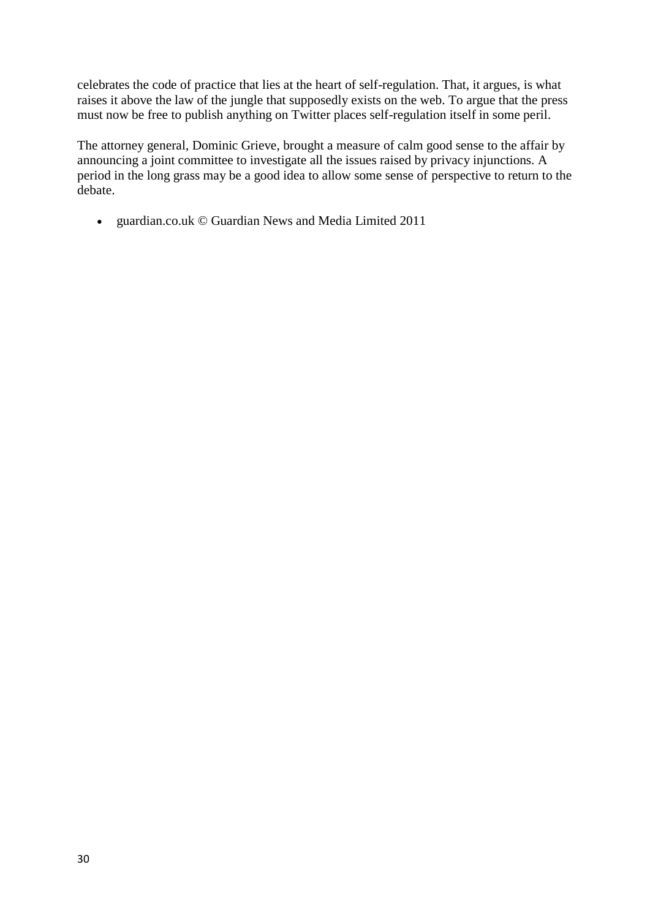celebrates the code of practice that lies at the heart of self-regulation. That, it argues, is what raises it above the law of the jungle that supposedly exists on the web. To argue that the press must now be free to publish anything on Twitter places self-regulation itself in some peril.

The attorney general, Dominic Grieve, brought a measure of calm good sense to the affair by announcing a joint committee to investigate all the issues raised by privacy injunctions. A period in the long grass may be a good idea to allow some sense of perspective to return to the debate.

guardian.co.uk © Guardian News and Media Limited 2011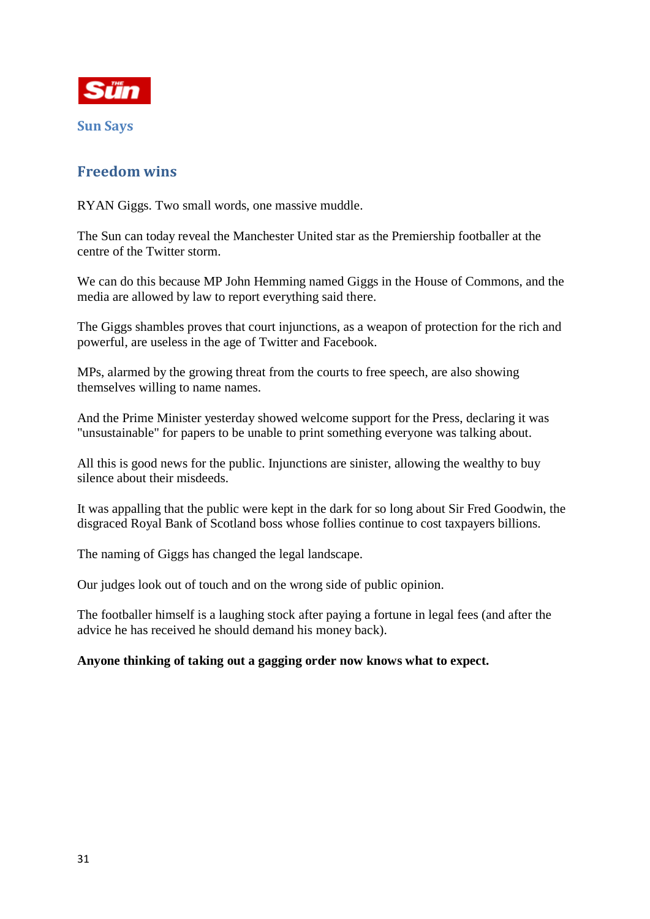

**Sun Says**

### **Freedom wins**

RYAN Giggs. Two small words, one massive muddle.

The Sun can today reveal the Manchester United star as the Premiership footballer at the centre of the Twitter storm.

We can do this because MP John Hemming named Giggs in the House of Commons, and the media are allowed by law to report everything said there.

The Giggs shambles proves that court injunctions, as a weapon of protection for the rich and powerful, are useless in the age of Twitter and Facebook.

MPs, alarmed by the growing threat from the courts to free speech, are also showing themselves willing to name names.

And the Prime Minister yesterday showed welcome support for the Press, declaring it was "unsustainable" for papers to be unable to print something everyone was talking about.

All this is good news for the public. Injunctions are sinister, allowing the wealthy to buy silence about their misdeeds.

It was appalling that the public were kept in the dark for so long about Sir Fred Goodwin, the disgraced Royal Bank of Scotland boss whose follies continue to cost taxpayers billions.

The naming of Giggs has changed the legal landscape.

Our judges look out of touch and on the wrong side of public opinion.

The footballer himself is a laughing stock after paying a fortune in legal fees (and after the advice he has received he should demand his money back).

#### **Anyone thinking of taking out a gagging order now knows what to expect.**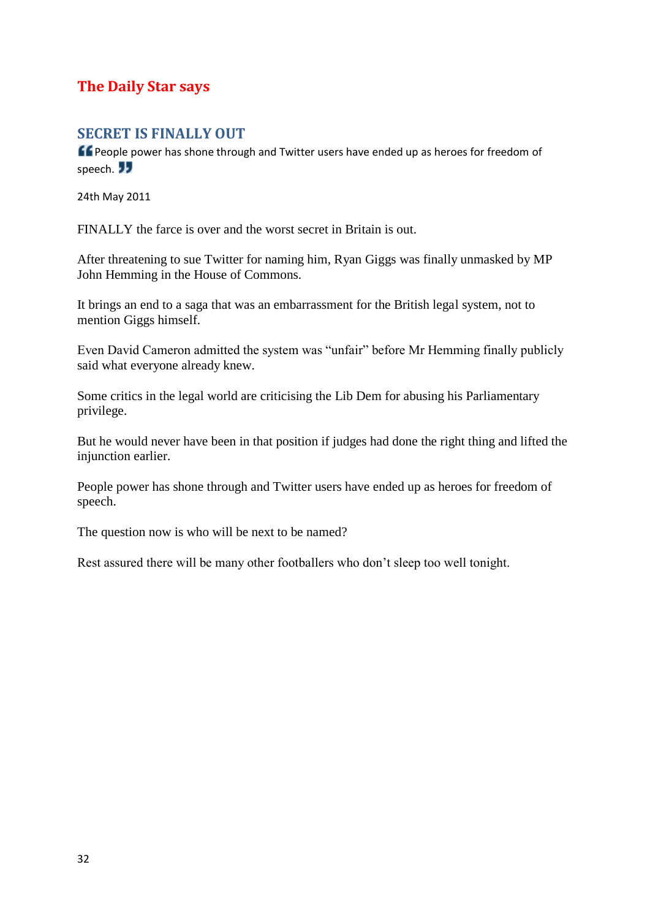### **The Daily Star says**

### **SECRET IS FINALLY OUT**

**Let** People power has shone through and Twitter users have ended up as heroes for freedom of speech. **JJ** 

24th May 2011

FINALLY the farce is over and the worst secret in Britain is out.

After threatening to sue Twitter for naming him, Ryan Giggs was finally unmasked by MP John Hemming in the House of Commons.

It brings an end to a saga that was an embarrassment for the British legal system, not to mention Giggs himself.

Even David Cameron admitted the system was "unfair" before Mr Hemming finally publicly said what everyone already knew.

Some critics in the legal world are criticising the Lib Dem for abusing his Parliamentary privilege.

But he would never have been in that position if judges had done the right thing and lifted the injunction earlier.

People power has shone through and Twitter users have ended up as heroes for freedom of speech.

The question now is who will be next to be named?

Rest assured there will be many other footballers who don't sleep too well tonight.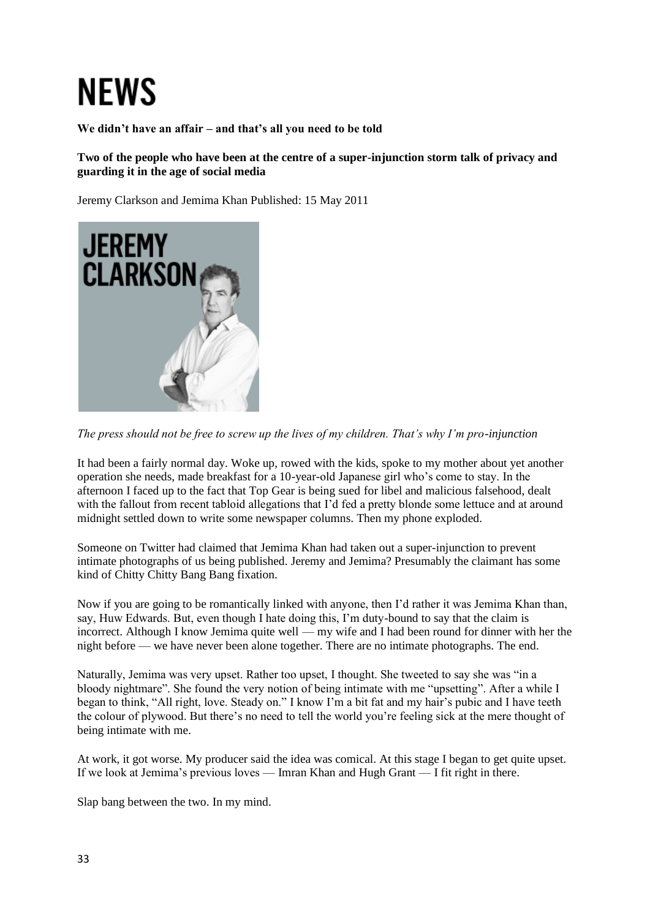# **NEWS**

**We didn't have an affair – and that's all you need to be told**

**Two of the people who have been at the centre of a super-injunction storm talk of privacy and guarding it in the age of social media**

Jeremy Clarkson and Jemima Khan Published: 15 May 2011



*The press should not be free to screw up the lives of my children. That's why I'm pro-injunction*

It had been a fairly normal day. Woke up, rowed with the kids, spoke to my mother about yet another operation she needs, made breakfast for a 10-year-old Japanese girl who's come to stay. In the afternoon I faced up to the fact that Top Gear is being sued for libel and malicious falsehood, dealt with the fallout from recent tabloid allegations that I'd fed a pretty blonde some lettuce and at around midnight settled down to write some newspaper columns. Then my phone exploded.

Someone on Twitter had claimed that Jemima Khan had taken out a super-injunction to prevent intimate photographs of us being published. Jeremy and Jemima? Presumably the claimant has some kind of Chitty Chitty Bang Bang fixation.

Now if you are going to be romantically linked with anyone, then I'd rather it was Jemima Khan than, say, Huw Edwards. But, even though I hate doing this, I'm duty-bound to say that the claim is incorrect. Although I know Jemima quite well — my wife and I had been round for dinner with her the night before — we have never been alone together. There are no intimate photographs. The end.

Naturally, Jemima was very upset. Rather too upset, I thought. She tweeted to say she was "in a bloody nightmare". She found the very notion of being intimate with me "upsetting". After a while I began to think, "All right, love. Steady on." I know I'm a bit fat and my hair's pubic and I have teeth the colour of plywood. But there's no need to tell the world you're feeling sick at the mere thought of being intimate with me.

At work, it got worse. My producer said the idea was comical. At this stage I began to get quite upset. If we look at Jemima's previous loves — Imran Khan and Hugh Grant — I fit right in there.

Slap bang between the two. In my mind.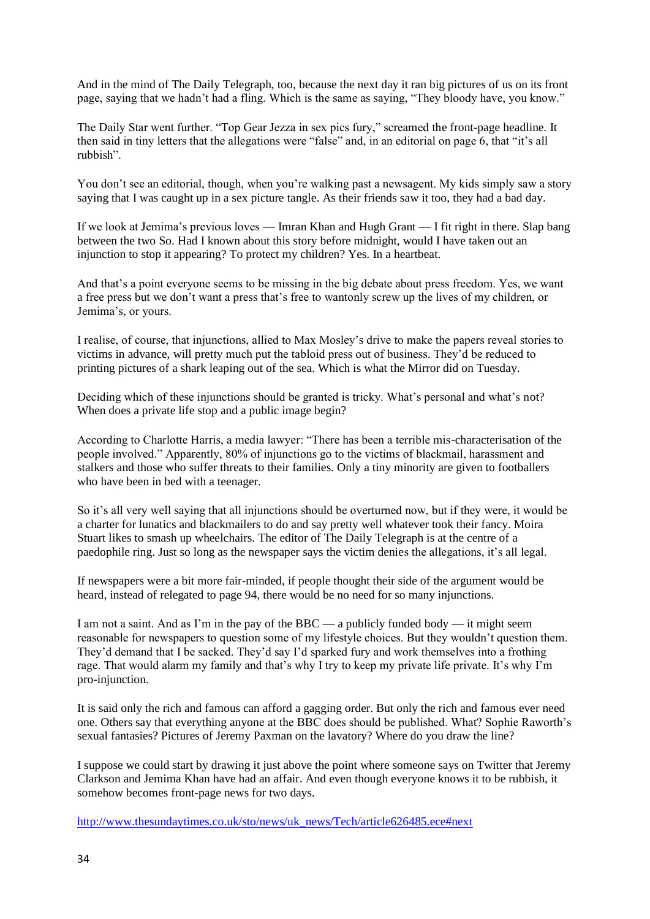And in the mind of The Daily Telegraph, too, because the next day it ran big pictures of us on its front page, saying that we hadn't had a fling. Which is the same as saying, "They bloody have, you know."

The Daily Star went further. "Top Gear Jezza in sex pics fury," screamed the front-page headline. It then said in tiny letters that the allegations were "false" and, in an editorial on page  $6$ , that "it's all rubbish"

You don't see an editorial, though, when you're walking past a newsagent. My kids simply saw a story saying that I was caught up in a sex picture tangle. As their friends saw it too, they had a bad day.

If we look at Jemima's previous loves — Imran Khan and Hugh Grant — I fit right in there. Slap bang between the two So. Had I known about this story before midnight, would I have taken out an injunction to stop it appearing? To protect my children? Yes. In a heartbeat.

And that's a point everyone seems to be missing in the big debate about press freedom. Yes, we want a free press but we don't want a press that's free to wantonly screw up the lives of my children, or Jemima's, or yours.

I realise, of course, that injunctions, allied to Max Mosley's drive to make the papers reveal stories to victims in advance, will pretty much put the tabloid press out of business. They'd be reduced to printing pictures of a shark leaping out of the sea. Which is what the Mirror did on Tuesday.

Deciding which of these injunctions should be granted is tricky. What's personal and what's not? When does a private life stop and a public image begin?

According to Charlotte Harris, a media lawyer: "There has been a terrible mis-characterisation of the people involved." Apparently, 80% of injunctions go to the victims of blackmail, harassment and stalkers and those who suffer threats to their families. Only a tiny minority are given to footballers who have been in bed with a teenager.

So it's all very well saying that all injunctions should be overturned now, but if they were, it would be a charter for lunatics and blackmailers to do and say pretty well whatever took their fancy. Moira Stuart likes to smash up wheelchairs. The editor of The Daily Telegraph is at the centre of a paedophile ring. Just so long as the newspaper says the victim denies the allegations, it's all legal.

If newspapers were a bit more fair-minded, if people thought their side of the argument would be heard, instead of relegated to page 94, there would be no need for so many injunctions.

I am not a saint. And as I'm in the pay of the BBC — a publicly funded body — it might seem reasonable for newspapers to question some of my lifestyle choices. But they wouldn't question them. They'd demand that I be sacked. They'd say I'd sparked fury and work themselves into a frothing rage. That would alarm my family and that's why I try to keep my private life private. It's why I'm pro-injunction.

It is said only the rich and famous can afford a gagging order. But only the rich and famous ever need one. Others say that everything anyone at the BBC does should be published. What? Sophie Raworth's sexual fantasies? Pictures of Jeremy Paxman on the lavatory? Where do you draw the line?

I suppose we could start by drawing it just above the point where someone says on Twitter that Jeremy Clarkson and Jemima Khan have had an affair. And even though everyone knows it to be rubbish, it somehow becomes front-page news for two days.

[http://www.thesundaytimes.co.uk/sto/news/uk\\_news/Tech/article626485.ece#next](http://www.thesundaytimes.co.uk/sto/news/uk_news/Tech/article626485.ece#next)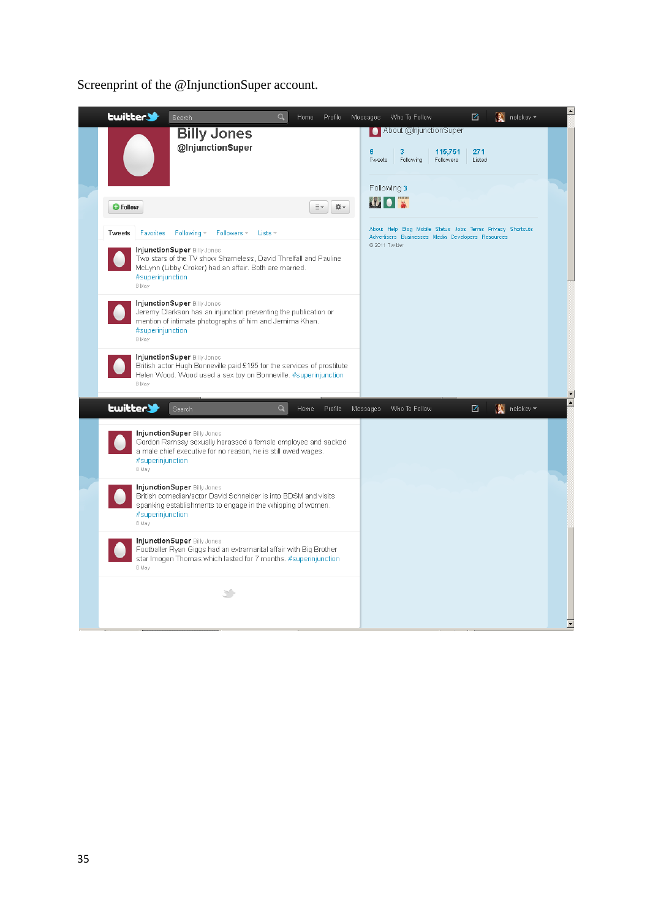Screenprint of the @InjunctionSuper account.

| <b>Lwitter</b>                         | Search                                                                                                                                                                   | Q         | Home                                               | Profile | Messages       | Who To Follow                                                                                                                      |  | M                                                                                                               | <mark>父</mark> nelskev ▼ | $\blacktriangle$ |
|----------------------------------------|--------------------------------------------------------------------------------------------------------------------------------------------------------------------------|-----------|----------------------------------------------------|---------|----------------|------------------------------------------------------------------------------------------------------------------------------------|--|-----------------------------------------------------------------------------------------------------------------|--------------------------|------------------|
| <b>Billy Jones</b><br>@InjunctionSuper |                                                                                                                                                                          |           |                                                    |         |                | About @InjunctionSuper<br>3<br>271<br>6<br>115,751<br>Tweets<br>Following<br>Followers<br>Listed<br>Following 3<br>$\mathbf{u}$ or |  |                                                                                                                 |                          |                  |
| <b>O</b> Follow                        |                                                                                                                                                                          |           | $\mathrel{\mathop:}= \mathord{\blacktriangledown}$ | 春天      |                |                                                                                                                                    |  |                                                                                                                 |                          |                  |
| Favorites<br><b>Tweets</b>             | Following ~<br>Followers *                                                                                                                                               | Lists $=$ |                                                    |         |                |                                                                                                                                    |  | About Help Blog Mobile Status Jobs Terms Privacy Shortcuts<br>Advertisers Businesses Media Developers Resources |                          |                  |
| #superinjunction<br>8 May              | InjunctionSuper Billy Jones<br>Two stars of the TV show Shameless, David Threlfall and Pauline<br>McLynn (Libby Croker) had an affair. Both are married.                 |           |                                                    |         | @ 2011 Twitter |                                                                                                                                    |  |                                                                                                                 |                          |                  |
| #superinjunction<br>8 May              | InjunctionSuper Billy Jones<br>Jeremy Clarkson has an injunction preventing the publication or<br>mention of intimate photographs of him and Jemima Khan.                |           |                                                    |         |                |                                                                                                                                    |  |                                                                                                                 |                          |                  |
| 8 May                                  | InjunctionSuper Billy Jones<br>British actor Hugh Bonneville paid £195 for the services of prostitute<br>Helen Wood. Wood used a sex toy on Bonneville. #superinjunction |           |                                                    |         |                |                                                                                                                                    |  |                                                                                                                 |                          |                  |
| <b>Lwitter</b>                         | Search                                                                                                                                                                   | Q         | Home                                               | Profile | Messages       | Who To Follow                                                                                                                      |  | 囜                                                                                                               | O nelskev ▼              | $\blacktriangle$ |
| #superinjunction<br>8 May              | InjunctionSuper Billy Jones<br>Gordon Ramsay sexually harassed a female employee and sacked<br>a male chief executive for no reason, he is still owed wages.             |           |                                                    |         |                |                                                                                                                                    |  |                                                                                                                 |                          |                  |
| #superinjunction<br>8 May              | InjunctionSuper Billy Jones<br>British comedian/actor David Schneider is into BDSM and visits<br>spanking establishments to engage in the whipping of women.             |           |                                                    |         |                |                                                                                                                                    |  |                                                                                                                 |                          |                  |
| 8 May                                  | InjunctionSuper Billy Jones<br>Footballer Ryan Giggs had an extramarital affair with Big Brother<br>star Imogen Thomas which lasted for 7 months. #superinjunction       |           |                                                    |         |                |                                                                                                                                    |  |                                                                                                                 |                          |                  |
|                                        | Y                                                                                                                                                                        |           |                                                    |         |                |                                                                                                                                    |  |                                                                                                                 |                          |                  |